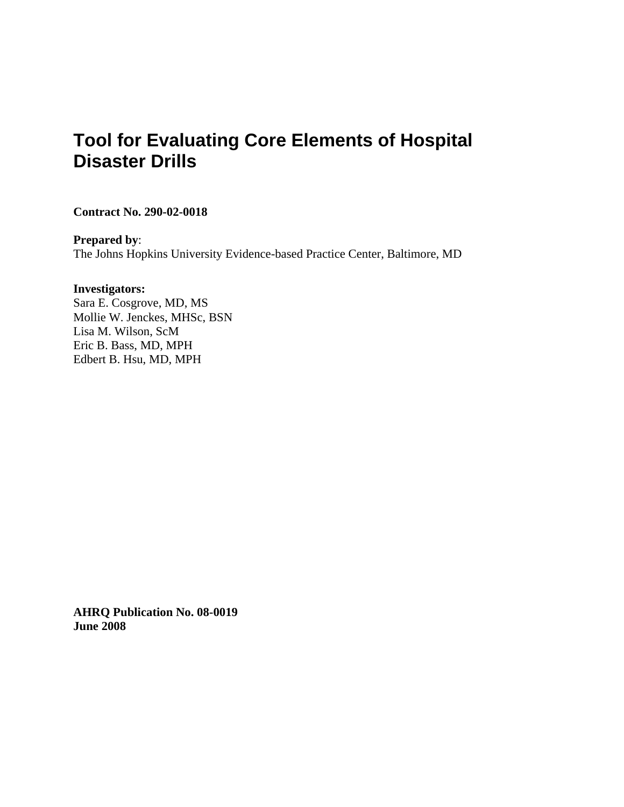# **Tool for Evaluating Core Elements of Hospital Disaster Drills**

**Contract No. 290-02-0018** 

**Prepared by**:

The Johns Hopkins University Evidence-based Practice Center, Baltimore, MD

#### **Investigators:**

Sara E. Cosgrove, MD, MS Mollie W. Jenckes, MHSc, BSN Lisa M. Wilson, ScM Eric B. Bass, MD, MPH Edbert B. Hsu, MD, MPH

**AHRQ Publication No. 08-0019 June 2008**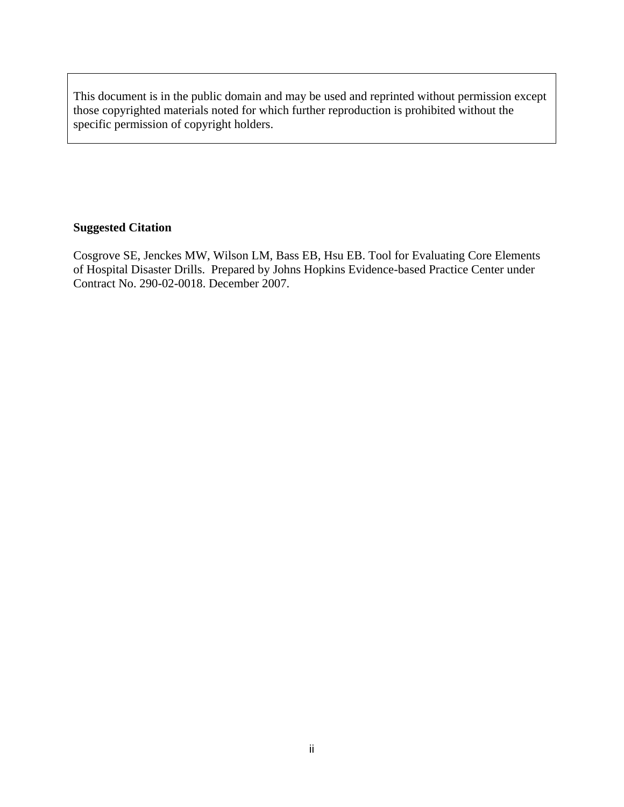This document is in the public domain and may be used and reprinted without permission except those copyrighted materials noted for which further reproduction is prohibited without the specific permission of copyright holders.

#### **Suggested Citation**

Cosgrove SE, Jenckes MW, Wilson LM, Bass EB, Hsu EB. Tool for Evaluating Core Elements of Hospital Disaster Drills. Prepared by Johns Hopkins Evidence-based Practice Center under Contract No. 290-02-0018. December 2007.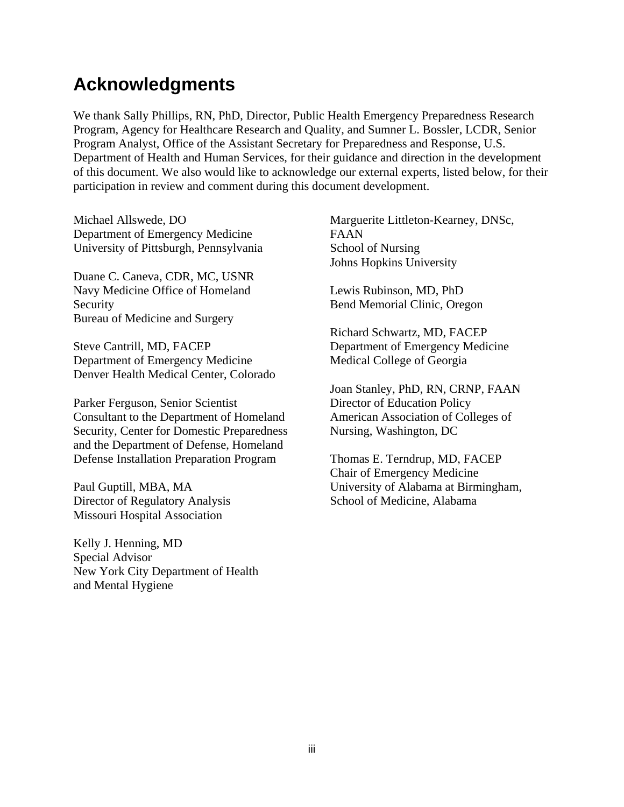# **Acknowledgments**

We thank Sally Phillips, RN, PhD, Director, Public Health Emergency Preparedness Research Program, Agency for Healthcare Research and Quality, and Sumner L. Bossler, LCDR, Senior Program Analyst, Office of the Assistant Secretary for Preparedness and Response, U.S. Department of Health and Human Services, for their guidance and direction in the development of this document. We also would like to acknowledge our external experts, listed below, for their participation in review and comment during this document development.

Michael Allswede, DO Department of Emergency Medicine University of Pittsburgh, Pennsylvania

Duane C. Caneva, CDR, MC, USNR Navy Medicine Office of Homeland Security Bureau of Medicine and Surgery

Steve Cantrill, MD, FACEP Department of Emergency Medicine Denver Health Medical Center, Colorado

Parker Ferguson, Senior Scientist Consultant to the Department of Homeland Security, Center for Domestic Preparedness and the Department of Defense, Homeland Defense Installation Preparation Program

Paul Guptill, MBA, MA Director of Regulatory Analysis Missouri Hospital Association

Kelly J. Henning, MD Special Advisor New York City Department of Health and Mental Hygiene

Marguerite Littleton-Kearney, DNSc, FAAN School of Nursing Johns Hopkins University

Lewis Rubinson, MD, PhD Bend Memorial Clinic, Oregon

Richard Schwartz, MD, FACEP Department of Emergency Medicine Medical College of Georgia

Joan Stanley, PhD, RN, CRNP, FAAN Director of Education Policy American Association of Colleges of Nursing, Washington, DC

Thomas E. Terndrup, MD, FACEP Chair of Emergency Medicine University of Alabama at Birmingham, School of Medicine, Alabama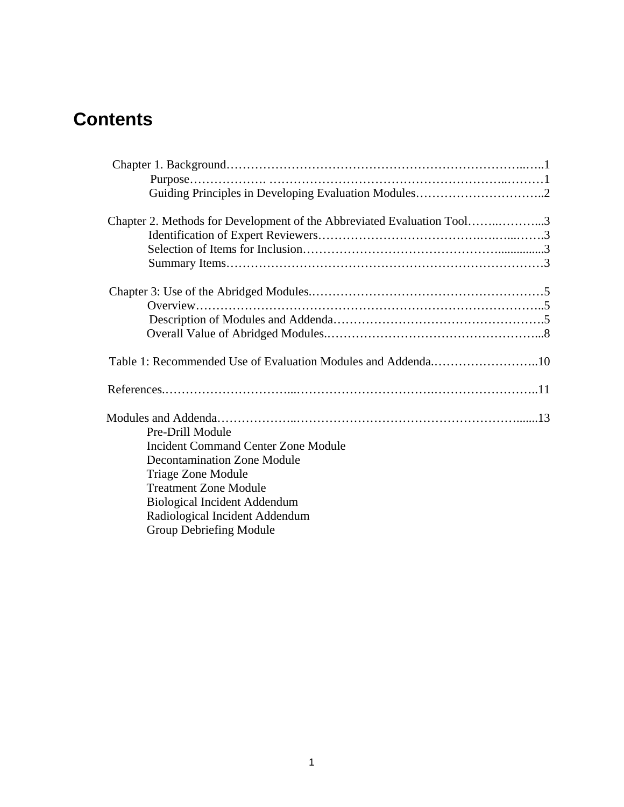# **Contents**

| Chapter 2. Methods for Development of the Abbreviated Evaluation Tool3 |  |
|------------------------------------------------------------------------|--|
|                                                                        |  |
|                                                                        |  |
|                                                                        |  |
|                                                                        |  |
|                                                                        |  |
|                                                                        |  |
|                                                                        |  |
| Table 1: Recommended Use of Evaluation Modules and Addenda10           |  |
|                                                                        |  |
|                                                                        |  |
|                                                                        |  |
| Pre-Drill Module                                                       |  |
| <b>Incident Command Center Zone Module</b>                             |  |
| Decontamination Zone Module                                            |  |
|                                                                        |  |
| Triage Zone Module<br><b>Treatment Zone Module</b>                     |  |
|                                                                        |  |
| <b>Biological Incident Addendum</b>                                    |  |
| Radiological Incident Addendum<br>Group Debriefing Module              |  |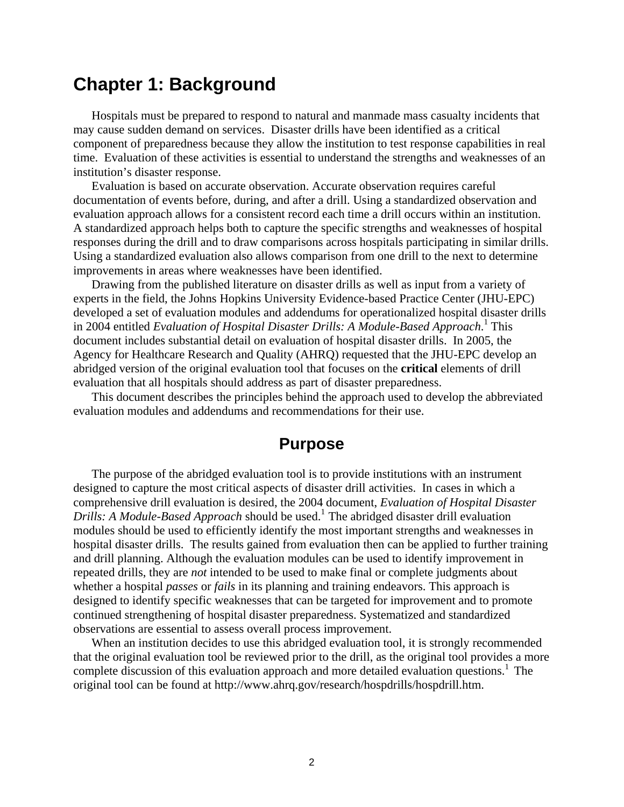# **Chapter 1: Background**

Hospitals must be prepared to respond to natural and manmade mass casualty incidents that may cause sudden demand on services. Disaster drills have been identified as a critical component of preparedness because they allow the institution to test response capabilities in real time. Evaluation of these activities is essential to understand the strengths and weaknesses of an institution's disaster response.

Evaluation is based on accurate observation. Accurate observation requires careful documentation of events before, during, and after a drill. Using a standardized observation and evaluation approach allows for a consistent record each time a drill occurs within an institution. A standardized approach helps both to capture the specific strengths and weaknesses of hospital responses during the drill and to draw comparisons across hospitals participating in similar drills. Using a standardized evaluation also allows comparison from one drill to the next to determine improvements in areas where weaknesses have been identified.

Drawing from the published literature on disaster drills as well as input from a variety of experts in the field, the Johns Hopkins University Evidence-based Practice Center (JHU-EPC) developed a set of evaluation modules and addendums for operationalized hospital disaster drills in 2004 entitled *Evaluation of Hospital Disaster Drills: A Module-Based Approach.*<sup>1</sup> This document includes substantial detail on evaluation of hospital disaster drills. In 2005, the Agency for Healthcare Research and Quality (AHRQ) requested that the JHU-EPC develop an abridged version of the original evaluation tool that focuses on the **critical** elements of drill evaluation that all hospitals should address as part of disaster preparedness.

This document describes the principles behind the approach used to develop the abbreviated evaluation modules and addendums and recommendations for their use.

## **Purpose**

The purpose of the abridged evaluation tool is to provide institutions with an instrument designed to capture the most critical aspects of disaster drill activities. In cases in which a comprehensive drill evaluation is desired, the 2004 document, *Evaluation of Hospital Disaster Drills: A Module-Based Approach* should be used.<sup>1</sup> The abridged disaster drill evaluation modules should be used to efficiently identify the most important strengths and weaknesses in hospital disaster drills. The results gained from evaluation then can be applied to further training and drill planning. Although the evaluation modules can be used to identify improvement in repeated drills, they are *not* intended to be used to make final or complete judgments about whether a hospital *passes* or *fails* in its planning and training endeavors. This approach is designed to identify specific weaknesses that can be targeted for improvement and to promote continued strengthening of hospital disaster preparedness. Systematized and standardized observations are essential to assess overall process improvement.

 When an institution decides to use this abridged evaluation tool, it is strongly recommended that the original evaluation tool be reviewed prior to the drill, as the original tool provides a more complete discussion of this evaluation approach and more detailed evaluation questions.<sup>1</sup> The original tool can be found at http://www.ahrq.gov/research/hospdrills/hospdrill.htm.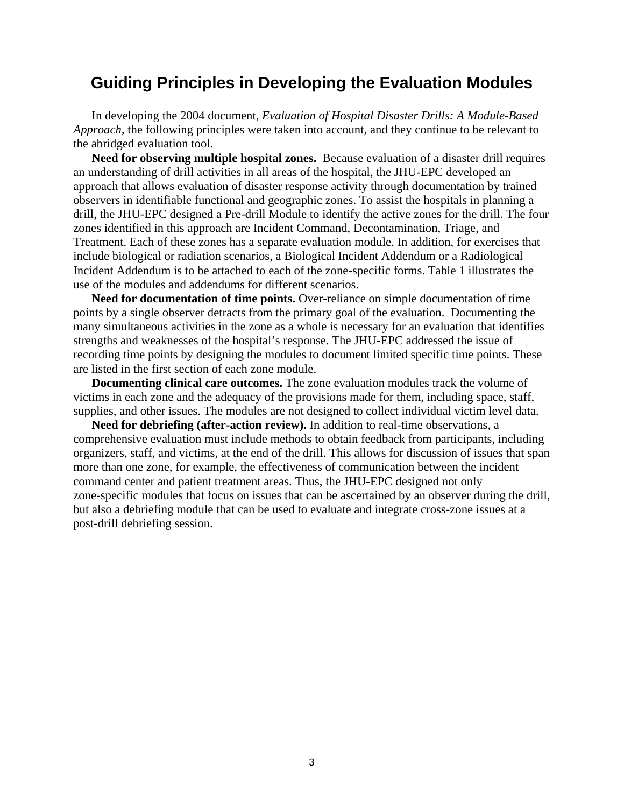## **Guiding Principles in Developing the Evaluation Modules**

 In developing the 2004 document, *Evaluation of Hospital Disaster Drills: A Module-Based Approach*, the following principles were taken into account, and they continue to be relevant to the abridged evaluation tool.

 **Need for observing multiple hospital zones.** Because evaluation of a disaster drill requires an understanding of drill activities in all areas of the hospital, the JHU-EPC developed an approach that allows evaluation of disaster response activity through documentation by trained observers in identifiable functional and geographic zones. To assist the hospitals in planning a drill, the JHU-EPC designed a Pre-drill Module to identify the active zones for the drill. The four zones identified in this approach are Incident Command, Decontamination, Triage, and Treatment. Each of these zones has a separate evaluation module. In addition, for exercises that include biological or radiation scenarios, a Biological Incident Addendum or a Radiological Incident Addendum is to be attached to each of the zone-specific forms. Table 1 illustrates the use of the modules and addendums for different scenarios.

 **Need for documentation of time points.** Over-reliance on simple documentation of time points by a single observer detracts from the primary goal of the evaluation. Documenting the many simultaneous activities in the zone as a whole is necessary for an evaluation that identifies strengths and weaknesses of the hospital's response. The JHU-EPC addressed the issue of recording time points by designing the modules to document limited specific time points. These are listed in the first section of each zone module.

 **Documenting clinical care outcomes.** The zone evaluation modules track the volume of victims in each zone and the adequacy of the provisions made for them, including space, staff, supplies, and other issues. The modules are not designed to collect individual victim level data.

 **Need for debriefing (after-action review).** In addition to real-time observations, a comprehensive evaluation must include methods to obtain feedback from participants, including organizers, staff, and victims, at the end of the drill. This allows for discussion of issues that span more than one zone, for example, the effectiveness of communication between the incident command center and patient treatment areas. Thus, the JHU-EPC designed not only zone-specific modules that focus on issues that can be ascertained by an observer during the drill, but also a debriefing module that can be used to evaluate and integrate cross-zone issues at a post-drill debriefing session.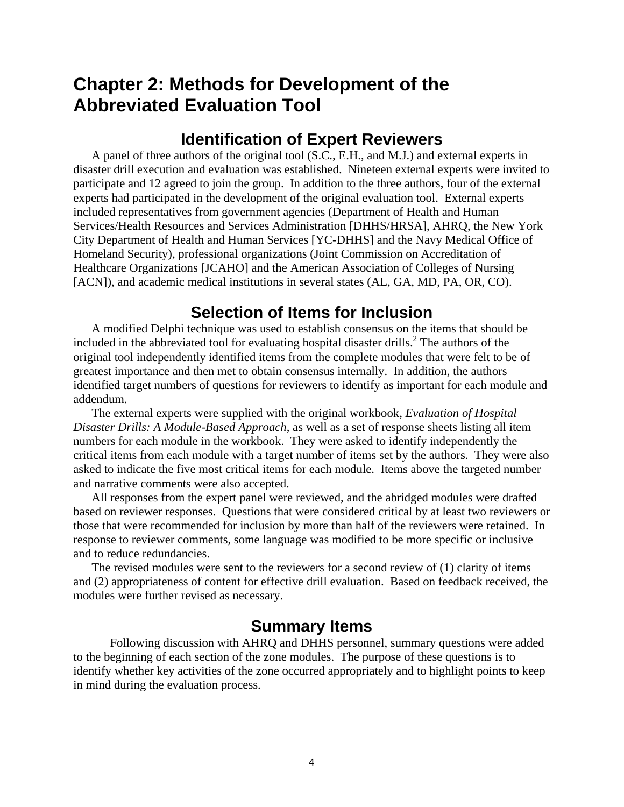# **Chapter 2: Methods for Development of the Abbreviated Evaluation Tool**

## **Identification of Expert Reviewers**

A panel of three authors of the original tool (S.C., E.H., and M.J.) and external experts in disaster drill execution and evaluation was established. Nineteen external experts were invited to participate and 12 agreed to join the group. In addition to the three authors, four of the external experts had participated in the development of the original evaluation tool. External experts included representatives from government agencies (Department of Health and Human Services/Health Resources and Services Administration [DHHS/HRSA], AHRQ, the New York City Department of Health and Human Services [YC-DHHS] and the Navy Medical Office of Homeland Security), professional organizations (Joint Commission on Accreditation of Healthcare Organizations [JCAHO] and the American Association of Colleges of Nursing [ACN]), and academic medical institutions in several states (AL, GA, MD, PA, OR, CO).

## **Selection of Items for Inclusion**

A modified Delphi technique was used to establish consensus on the items that should be included in the abbreviated tool for evaluating hospital disaster drills.<sup>2</sup> The authors of the original tool independently identified items from the complete modules that were felt to be of greatest importance and then met to obtain consensus internally. In addition, the authors identified target numbers of questions for reviewers to identify as important for each module and addendum.

 The external experts were supplied with the original workbook, *Evaluation of Hospital Disaster Drills: A Module-Based Approach*, as well as a set of response sheets listing all item numbers for each module in the workbook. They were asked to identify independently the critical items from each module with a target number of items set by the authors. They were also asked to indicate the five most critical items for each module. Items above the targeted number and narrative comments were also accepted.

 All responses from the expert panel were reviewed, and the abridged modules were drafted based on reviewer responses. Questions that were considered critical by at least two reviewers or those that were recommended for inclusion by more than half of the reviewers were retained. In response to reviewer comments, some language was modified to be more specific or inclusive and to reduce redundancies.

 The revised modules were sent to the reviewers for a second review of (1) clarity of items and (2) appropriateness of content for effective drill evaluation. Based on feedback received, the modules were further revised as necessary.

## **Summary Items**

 Following discussion with AHRQ and DHHS personnel, summary questions were added to the beginning of each section of the zone modules. The purpose of these questions is to identify whether key activities of the zone occurred appropriately and to highlight points to keep in mind during the evaluation process.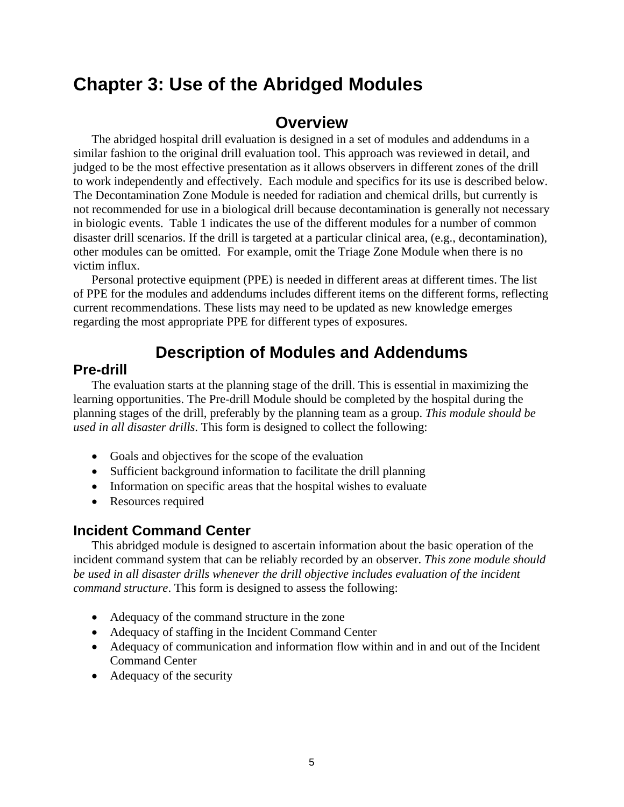# **Chapter 3: Use of the Abridged Modules**

## **Overview**

The abridged hospital drill evaluation is designed in a set of modules and addendums in a similar fashion to the original drill evaluation tool. This approach was reviewed in detail, and judged to be the most effective presentation as it allows observers in different zones of the drill to work independently and effectively. Each module and specifics for its use is described below. The Decontamination Zone Module is needed for radiation and chemical drills, but currently is not recommended for use in a biological drill because decontamination is generally not necessary in biologic events. Table 1 indicates the use of the different modules for a number of common disaster drill scenarios. If the drill is targeted at a particular clinical area, (e.g., decontamination), other modules can be omitted. For example, omit the Triage Zone Module when there is no victim influx.

 Personal protective equipment (PPE) is needed in different areas at different times. The list of PPE for the modules and addendums includes different items on the different forms, reflecting current recommendations. These lists may need to be updated as new knowledge emerges regarding the most appropriate PPE for different types of exposures.

# **Description of Modules and Addendums**

## **Pre-drill**

 The evaluation starts at the planning stage of the drill. This is essential in maximizing the learning opportunities. The Pre-drill Module should be completed by the hospital during the planning stages of the drill, preferably by the planning team as a group. *This module should be used in all disaster drills*. This form is designed to collect the following:

- Goals and objectives for the scope of the evaluation
- Sufficient background information to facilitate the drill planning
- Information on specific areas that the hospital wishes to evaluate
- Resources required

## **Incident Command Center**

This abridged module is designed to ascertain information about the basic operation of the incident command system that can be reliably recorded by an observer. *This zone module should be used in all disaster drills whenever the drill objective includes evaluation of the incident command structure*. This form is designed to assess the following:

- Adequacy of the command structure in the zone
- Adequacy of staffing in the Incident Command Center
- Adequacy of communication and information flow within and in and out of the Incident Command Center
- Adequacy of the security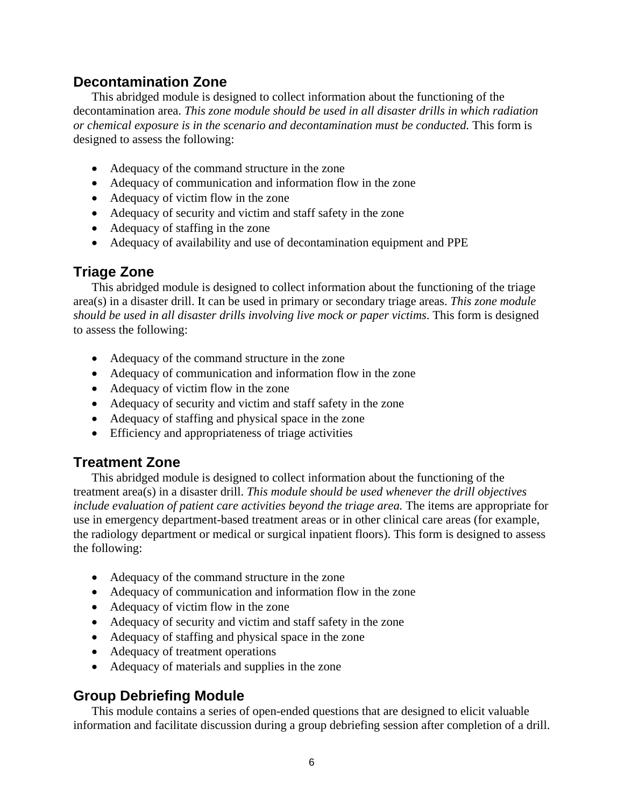## **Decontamination Zone**

 This abridged module is designed to collect information about the functioning of the decontamination area. *This zone module should be used in all disaster drills in which radiation or chemical exposure is in the scenario and decontamination must be conducted.* This form is designed to assess the following:

- Adequacy of the command structure in the zone
- Adequacy of communication and information flow in the zone
- Adequacy of victim flow in the zone
- Adequacy of security and victim and staff safety in the zone
- Adequacy of staffing in the zone
- Adequacy of availability and use of decontamination equipment and PPE

## **Triage Zone**

This abridged module is designed to collect information about the functioning of the triage area(s) in a disaster drill. It can be used in primary or secondary triage areas. *This zone module should be used in all disaster drills involving live mock or paper victims*. This form is designed to assess the following:

- Adequacy of the command structure in the zone
- Adequacy of communication and information flow in the zone
- Adequacy of victim flow in the zone
- Adequacy of security and victim and staff safety in the zone
- Adequacy of staffing and physical space in the zone
- Efficiency and appropriateness of triage activities

## **Treatment Zone**

This abridged module is designed to collect information about the functioning of the treatment area(s) in a disaster drill. *This module should be used whenever the drill objectives include evaluation of patient care activities beyond the triage area. The items are appropriate for* use in emergency department-based treatment areas or in other clinical care areas (for example, the radiology department or medical or surgical inpatient floors). This form is designed to assess the following:

- Adequacy of the command structure in the zone
- Adequacy of communication and information flow in the zone
- Adequacy of victim flow in the zone
- Adequacy of security and victim and staff safety in the zone
- Adequacy of staffing and physical space in the zone
- Adequacy of treatment operations
- Adequacy of materials and supplies in the zone

## **Group Debriefing Module**

This module contains a series of open-ended questions that are designed to elicit valuable information and facilitate discussion during a group debriefing session after completion of a drill.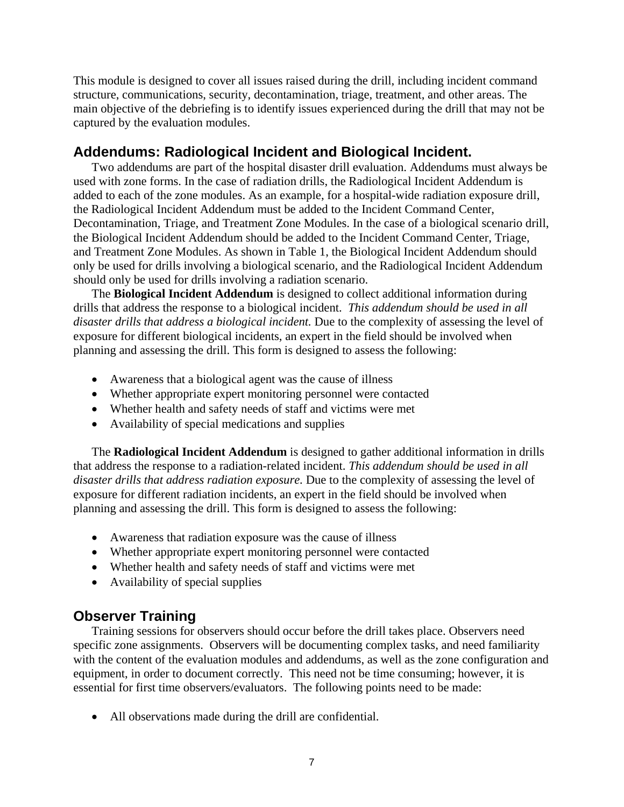This module is designed to cover all issues raised during the drill, including incident command structure, communications, security, decontamination, triage, treatment, and other areas. The main objective of the debriefing is to identify issues experienced during the drill that may not be captured by the evaluation modules.

## **Addendums: Radiological Incident and Biological Incident.**

Two addendums are part of the hospital disaster drill evaluation. Addendums must always be used with zone forms. In the case of radiation drills, the Radiological Incident Addendum is added to each of the zone modules. As an example, for a hospital-wide radiation exposure drill, the Radiological Incident Addendum must be added to the Incident Command Center, Decontamination, Triage, and Treatment Zone Modules. In the case of a biological scenario drill, the Biological Incident Addendum should be added to the Incident Command Center, Triage, and Treatment Zone Modules. As shown in Table 1, the Biological Incident Addendum should only be used for drills involving a biological scenario, and the Radiological Incident Addendum should only be used for drills involving a radiation scenario.

 The **Biological Incident Addendum** is designed to collect additional information during drills that address the response to a biological incident. *This addendum should be used in all disaster drills that address a biological incident.* Due to the complexity of assessing the level of exposure for different biological incidents, an expert in the field should be involved when planning and assessing the drill. This form is designed to assess the following:

- Awareness that a biological agent was the cause of illness
- Whether appropriate expert monitoring personnel were contacted
- Whether health and safety needs of staff and victims were met
- Availability of special medications and supplies

 The **Radiological Incident Addendum** is designed to gather additional information in drills that address the response to a radiation-related incident. *This addendum should be used in all disaster drills that address radiation exposure.* Due to the complexity of assessing the level of exposure for different radiation incidents, an expert in the field should be involved when planning and assessing the drill. This form is designed to assess the following:

- Awareness that radiation exposure was the cause of illness
- Whether appropriate expert monitoring personnel were contacted
- Whether health and safety needs of staff and victims were met
- Availability of special supplies

## **Observer Training**

Training sessions for observers should occur before the drill takes place. Observers need specific zone assignments. Observers will be documenting complex tasks, and need familiarity with the content of the evaluation modules and addendums, as well as the zone configuration and equipment, in order to document correctly. This need not be time consuming; however, it is essential for first time observers/evaluators. The following points need to be made:

• All observations made during the drill are confidential.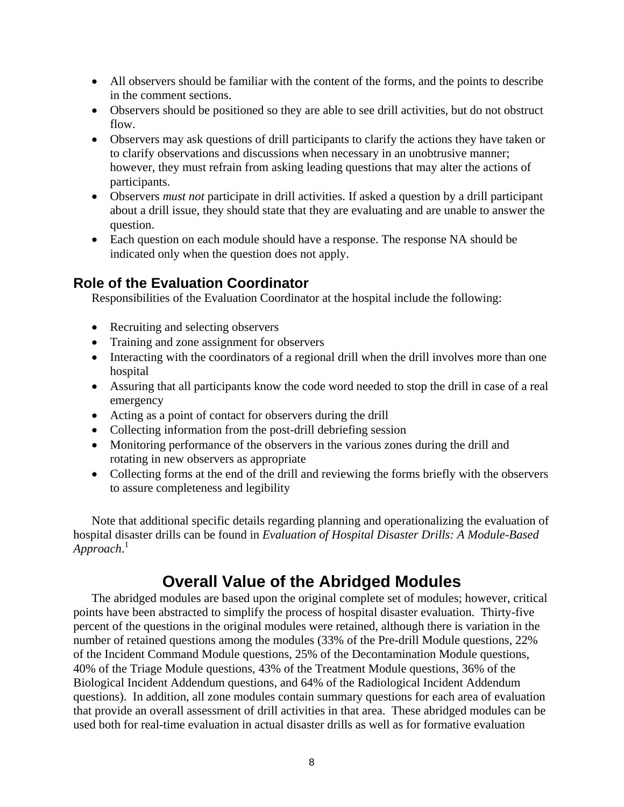- All observers should be familiar with the content of the forms, and the points to describe in the comment sections.
- Observers should be positioned so they are able to see drill activities, but do not obstruct flow.
- Observers may ask questions of drill participants to clarify the actions they have taken or to clarify observations and discussions when necessary in an unobtrusive manner; however, they must refrain from asking leading questions that may alter the actions of participants.
- Observers *must not* participate in drill activities. If asked a question by a drill participant about a drill issue, they should state that they are evaluating and are unable to answer the question.
- Each question on each module should have a response. The response NA should be indicated only when the question does not apply.

## **Role of the Evaluation Coordinator**

Responsibilities of the Evaluation Coordinator at the hospital include the following:

- Recruiting and selecting observers
- Training and zone assignment for observers
- Interacting with the coordinators of a regional drill when the drill involves more than one hospital
- Assuring that all participants know the code word needed to stop the drill in case of a real emergency
- Acting as a point of contact for observers during the drill
- Collecting information from the post-drill debriefing session
- Monitoring performance of the observers in the various zones during the drill and rotating in new observers as appropriate
- Collecting forms at the end of the drill and reviewing the forms briefly with the observers to assure completeness and legibility

 Note that additional specific details regarding planning and operationalizing the evaluation of hospital disaster drills can be found in *Evaluation of Hospital Disaster Drills: A Module-Based Approach*. 1

# **Overall Value of the Abridged Modules**

The abridged modules are based upon the original complete set of modules; however, critical points have been abstracted to simplify the process of hospital disaster evaluation. Thirty-five percent of the questions in the original modules were retained, although there is variation in the number of retained questions among the modules (33% of the Pre-drill Module questions, 22% of the Incident Command Module questions, 25% of the Decontamination Module questions, 40% of the Triage Module questions, 43% of the Treatment Module questions, 36% of the Biological Incident Addendum questions, and 64% of the Radiological Incident Addendum questions). In addition, all zone modules contain summary questions for each area of evaluation that provide an overall assessment of drill activities in that area. These abridged modules can be used both for real-time evaluation in actual disaster drills as well as for formative evaluation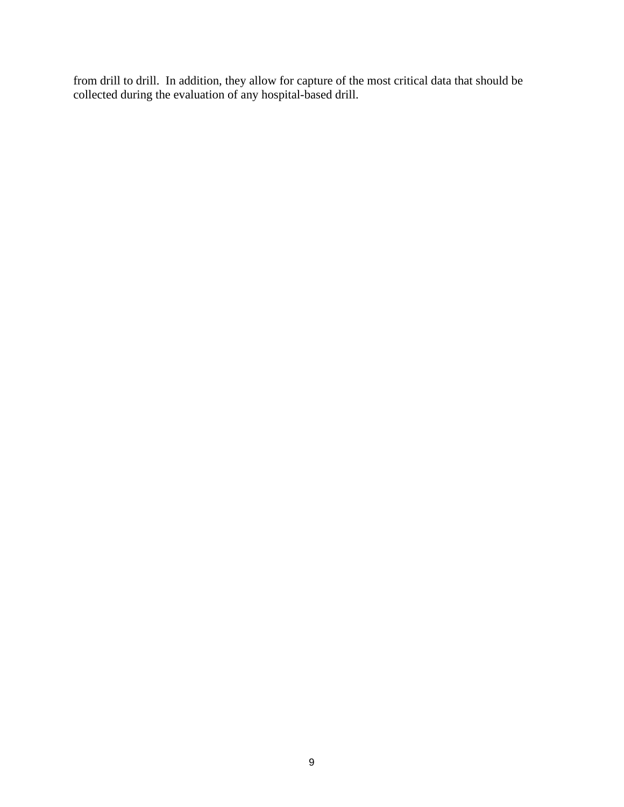from drill to drill. In addition, they allow for capture of the most critical data that should be collected during the evaluation of any hospital-based drill.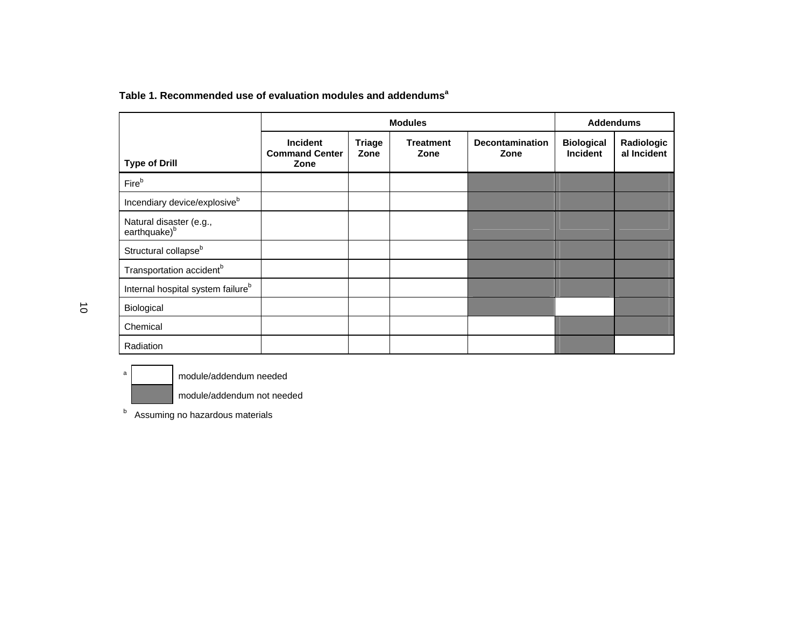#### **Table 1. Recommended use of evaluation modules and addendums<sup>a</sup>**

|                                                     | <b>Modules</b>                                   |                |                          |                                | <b>Addendums</b>                     |                           |
|-----------------------------------------------------|--------------------------------------------------|----------------|--------------------------|--------------------------------|--------------------------------------|---------------------------|
| <b>Type of Drill</b>                                | <b>Incident</b><br><b>Command Center</b><br>Zone | Triage<br>Zone | <b>Treatment</b><br>Zone | <b>Decontamination</b><br>Zone | <b>Biological</b><br><b>Incident</b> | Radiologic<br>al Incident |
| Fireb                                               |                                                  |                |                          |                                |                                      |                           |
| Incendiary device/explosive <sup>b</sup>            |                                                  |                |                          |                                |                                      |                           |
| Natural disaster (e.g.,<br>earthquake) <sup>b</sup> |                                                  |                |                          |                                |                                      |                           |
| Structural collapse <sup>b</sup>                    |                                                  |                |                          |                                |                                      |                           |
| Transportation accident <sup>b</sup>                |                                                  |                |                          |                                |                                      |                           |
| Internal hospital system failure <sup>b</sup>       |                                                  |                |                          |                                |                                      |                           |
| Biological                                          |                                                  |                |                          |                                |                                      |                           |
| Chemical                                            |                                                  |                |                          |                                |                                      |                           |
| Radiation                                           |                                                  |                |                          |                                |                                      |                           |

 $\vec{0}$ 

a<sup>a</sup> | module/addendum needed module/addendum not needed

 $<sup>b</sup>$  Assuming no hazardous materials</sup>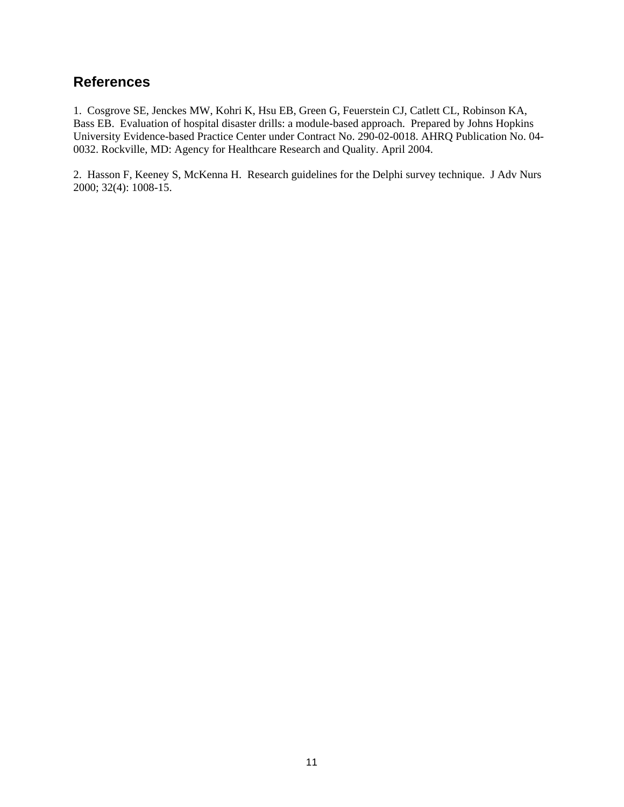## **References**

1. Cosgrove SE, Jenckes MW, Kohri K, Hsu EB, Green G, Feuerstein CJ, Catlett CL, Robinson KA, Bass EB. Evaluation of hospital disaster drills: a module-based approach. Prepared by Johns Hopkins University Evidence-based Practice Center under Contract No. 290-02-0018. AHRQ Publication No. 04- 0032. Rockville, MD: Agency for Healthcare Research and Quality. April 2004.

2. Hasson F, Keeney S, McKenna H. Research guidelines for the Delphi survey technique. J Adv Nurs 2000; 32(4): 1008-15.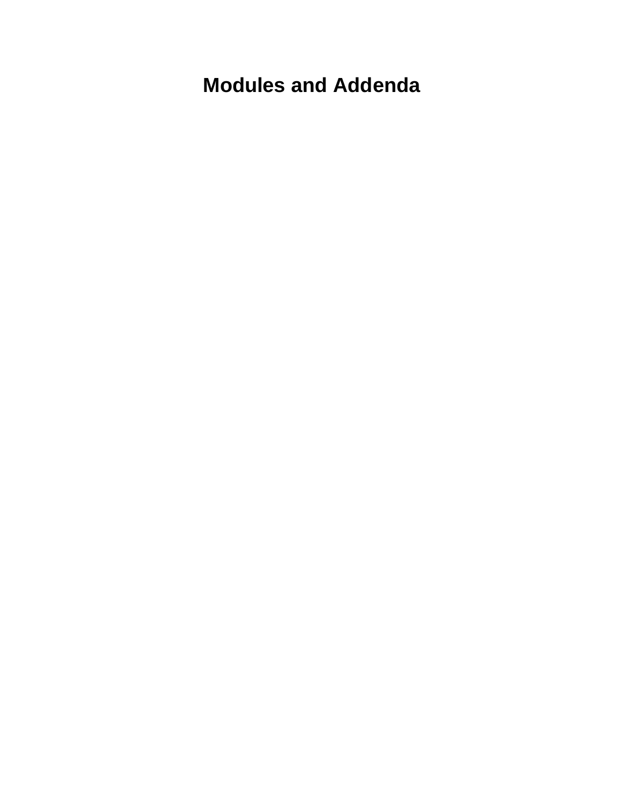**Modules and Addenda**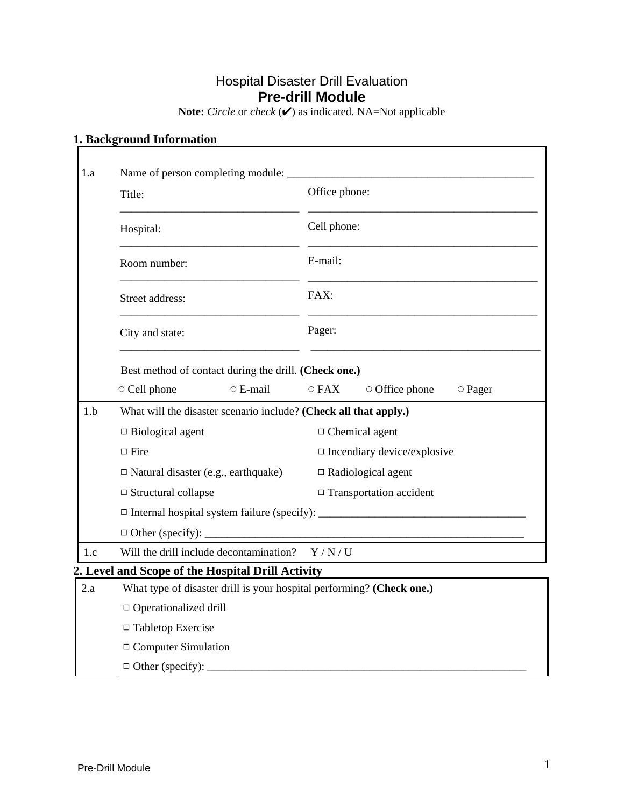# Hospital Disaster Drill Evaluation **Pre-drill Module**

**Note:** *Circle* or *check* (✔) as indicated. NA=Not applicable

# **1. Background Information**

| Name of person completing module:<br>Title:                                      | Office phone:<br>Cell phone:<br>E-mail:        |  |  |
|----------------------------------------------------------------------------------|------------------------------------------------|--|--|
| Hospital:                                                                        |                                                |  |  |
| Room number:                                                                     |                                                |  |  |
| Street address:                                                                  | FAX:                                           |  |  |
| City and state:                                                                  | Pager:                                         |  |  |
| Best method of contact during the drill. (Check one.)                            |                                                |  |  |
| ○ Cell phone<br>$\circ$ E-mail                                                   | $\circ$ FAX<br>$\circ$ Office phone<br>○ Pager |  |  |
| What will the disaster scenario include? (Check all that apply.)                 |                                                |  |  |
| $\Box$ Biological agent                                                          | $\Box$ Chemical agent                          |  |  |
| $\Box$ Fire                                                                      | $\Box$ Incendiary device/explosive             |  |  |
| $\Box$ Natural disaster (e.g., earthquake)                                       | $\Box$ Radiological agent                      |  |  |
| $\Box$ Structural collapse                                                       | $\Box$ Transportation accident                 |  |  |
| □ Internal hospital system failure (specify): __________________________________ |                                                |  |  |
|                                                                                  |                                                |  |  |
| Will the drill include decontamination? $Y/N/U$                                  |                                                |  |  |
| 2. Level and Scope of the Hospital Drill Activity                                |                                                |  |  |
| What type of disaster drill is your hospital performing? (Check one.)            |                                                |  |  |
| $\Box$ Operationalized drill                                                     |                                                |  |  |
| $\Box$ Tabletop Exercise                                                         |                                                |  |  |
| $\Box$ Computer Simulation                                                       |                                                |  |  |
| $\Box$ Other (specify):                                                          |                                                |  |  |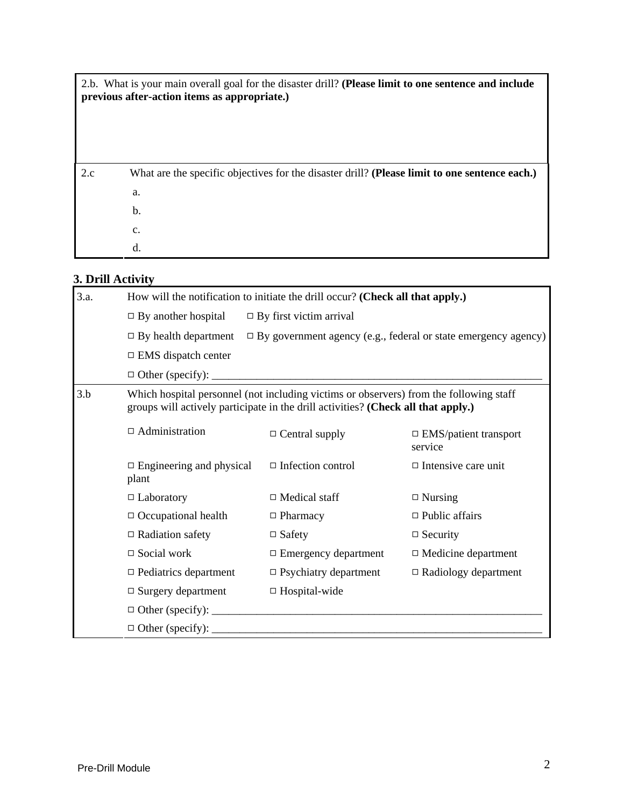| 2.b. What is your main overall goal for the disaster drill? (Please limit to one sentence and include |  |  |
|-------------------------------------------------------------------------------------------------------|--|--|
| previous after-action items as appropriate.)                                                          |  |  |

What are the specific objectives for the disaster drill? **(Please limit to one sentence each.)** a. b. c. 2.c d.

## **3. Drill Activity**

| 3.a. | How will the notification to initiate the drill occur? (Check all that apply.) |                                                                                                                                                                             |                                         |  |
|------|--------------------------------------------------------------------------------|-----------------------------------------------------------------------------------------------------------------------------------------------------------------------------|-----------------------------------------|--|
|      | $\Box$ By another hospital                                                     | $\Box$ By first victim arrival                                                                                                                                              |                                         |  |
|      |                                                                                | $\Box$ By health department $\Box$ By government agency (e.g., federal or state emergency agency)                                                                           |                                         |  |
|      | $\Box$ EMS dispatch center                                                     |                                                                                                                                                                             |                                         |  |
|      |                                                                                |                                                                                                                                                                             |                                         |  |
| 3.b  |                                                                                | Which hospital personnel (not including victims or observers) from the following staff<br>groups will actively participate in the drill activities? (Check all that apply.) |                                         |  |
|      | $\Box$ Administration                                                          | $\Box$ Central supply                                                                                                                                                       | $\Box$ EMS/patient transport<br>service |  |
|      | $\Box$ Engineering and physical<br>plant                                       | $\Box$ Infection control                                                                                                                                                    | $\Box$ Intensive care unit              |  |
|      | $\Box$ Laboratory                                                              | $\Box$ Medical staff                                                                                                                                                        | $\Box$ Nursing                          |  |
|      | $\Box$ Occupational health                                                     | $\Box$ Pharmacy                                                                                                                                                             | $\Box$ Public affairs                   |  |
|      | $\Box$ Radiation safety                                                        | $\Box$ Safety                                                                                                                                                               | $\Box$ Security                         |  |
|      | $\Box$ Social work                                                             | $\Box$ Emergency department                                                                                                                                                 | $\Box$ Medicine department              |  |
|      | $\Box$ Pediatrics department                                                   | $\Box$ Psychiatry department                                                                                                                                                | $\Box$ Radiology department             |  |
|      | $\Box$ Surgery department                                                      | $\Box$ Hospital-wide                                                                                                                                                        |                                         |  |
|      |                                                                                |                                                                                                                                                                             |                                         |  |
|      |                                                                                |                                                                                                                                                                             |                                         |  |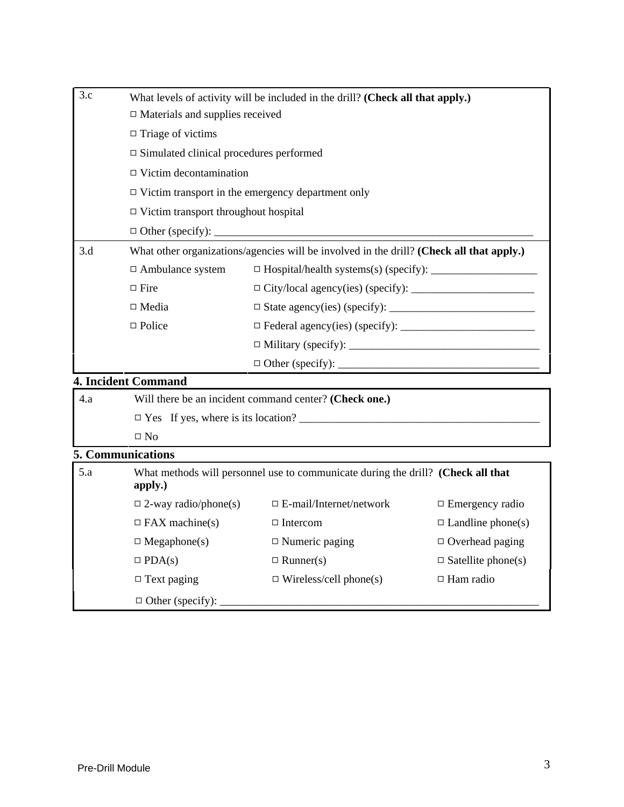| 3.c | What levels of activity will be included in the drill? (Check all that apply.)              |                                                                                          |                           |  |  |
|-----|---------------------------------------------------------------------------------------------|------------------------------------------------------------------------------------------|---------------------------|--|--|
|     | $\Box$ Materials and supplies received                                                      |                                                                                          |                           |  |  |
|     | $\Box$ Triage of victims                                                                    |                                                                                          |                           |  |  |
|     | $\Box$ Simulated clinical procedures performed                                              |                                                                                          |                           |  |  |
|     | $\Box$ Victim decontamination                                                               |                                                                                          |                           |  |  |
|     |                                                                                             | $\Box$ Victim transport in the emergency department only                                 |                           |  |  |
|     | $\Box$ Victim transport throughout hospital                                                 |                                                                                          |                           |  |  |
|     |                                                                                             |                                                                                          |                           |  |  |
| 3.d |                                                                                             | What other organizations/agencies will be involved in the drill? (Check all that apply.) |                           |  |  |
|     | $\Box$ Ambulance system                                                                     |                                                                                          |                           |  |  |
|     | $\Box$ Fire                                                                                 |                                                                                          |                           |  |  |
|     | $\Box$ Media                                                                                |                                                                                          |                           |  |  |
|     | $\Box$ Police                                                                               |                                                                                          |                           |  |  |
|     |                                                                                             |                                                                                          |                           |  |  |
|     |                                                                                             |                                                                                          |                           |  |  |
|     | <b>4. Incident Command</b>                                                                  |                                                                                          |                           |  |  |
| 4.a |                                                                                             | Will there be an incident command center? (Check one.)                                   |                           |  |  |
|     |                                                                                             |                                                                                          |                           |  |  |
|     | $\square$ No                                                                                |                                                                                          |                           |  |  |
|     | <b>5. Communications</b>                                                                    |                                                                                          |                           |  |  |
| 5.a | What methods will personnel use to communicate during the drill? (Check all that<br>apply.) |                                                                                          |                           |  |  |
|     | $\Box$ 2-way radio/phone(s)                                                                 | $\Box$ E-mail/Internet/network<br>$\Box$ Emergency radio                                 |                           |  |  |
|     | $\Box$ FAX machine(s)                                                                       | $\Box$ Intercom                                                                          | $\Box$ Landline phone(s)  |  |  |
|     | $\Box$ Megaphone(s)                                                                         | $\Box$ Numeric paging                                                                    | $\Box$ Overhead paging    |  |  |
|     | $\Box$ PDA(s)                                                                               | $\Box$ Runner(s)                                                                         | $\Box$ Satellite phone(s) |  |  |
|     | $\Box$ Text paging                                                                          | $\Box$ Wireless/cell phone(s)                                                            | $\Box$ Ham radio          |  |  |
|     | $\Box$ Other (specify):                                                                     |                                                                                          |                           |  |  |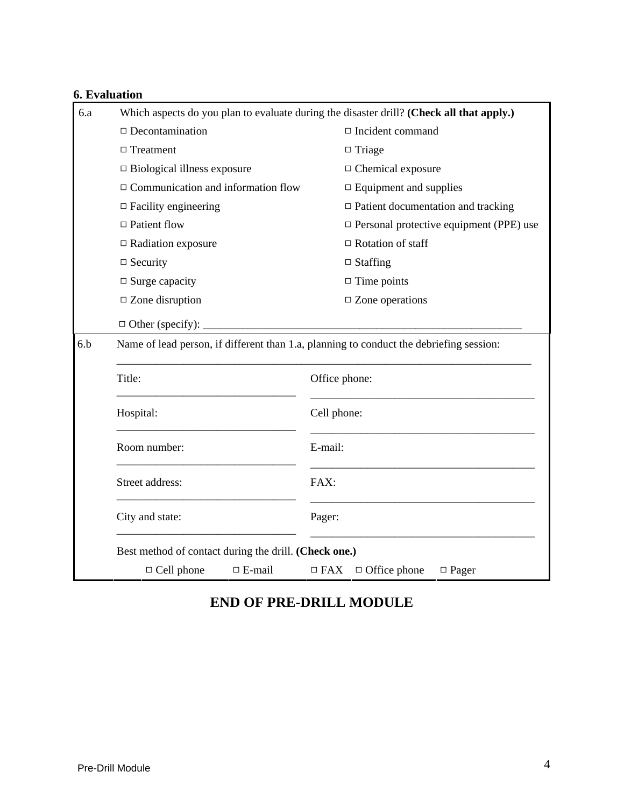#### **6. Evaluation**

| 6.a | Which aspects do you plan to evaluate during the disaster drill? (Check all that apply.) |                                                                                         |  |
|-----|------------------------------------------------------------------------------------------|-----------------------------------------------------------------------------------------|--|
|     | $\Box$ Decontamination                                                                   | $\Box$ Incident command                                                                 |  |
|     | $\Box$ Treatment                                                                         | $\Box$ Triage                                                                           |  |
|     | $\Box$ Biological illness exposure                                                       | $\Box$ Chemical exposure                                                                |  |
|     | $\Box$ Communication and information flow                                                | $\Box$ Equipment and supplies                                                           |  |
|     | $\Box$ Facility engineering                                                              | $\Box$ Patient documentation and tracking                                               |  |
|     | $\Box$ Patient flow                                                                      | $\Box$ Personal protective equipment (PPE) use                                          |  |
|     | $\Box$ Radiation exposure                                                                | $\Box$ Rotation of staff                                                                |  |
|     | $\Box$ Security                                                                          | $\Box$ Staffing                                                                         |  |
|     | $\Box$ Surge capacity                                                                    | $\Box$ Time points                                                                      |  |
|     | $\square$ Zone disruption                                                                | $\square$ Zone operations                                                               |  |
|     | $\Box$ Other (specify):                                                                  |                                                                                         |  |
| 6.b |                                                                                          | Name of lead person, if different than 1.a, planning to conduct the debriefing session: |  |
|     | Title:                                                                                   | Office phone:                                                                           |  |
|     | Hospital:                                                                                | Cell phone:                                                                             |  |
|     | Room number:                                                                             | E-mail:                                                                                 |  |
|     | Street address:                                                                          | FAX:                                                                                    |  |
|     | City and state:                                                                          | Pager:                                                                                  |  |
|     | Best method of contact during the drill. (Check one.)                                    |                                                                                         |  |
|     | $\Box$ Cell phone<br>$\Box$ E-mail                                                       | $\Box$ FAX $\Box$ Office phone<br>$\Box$ Pager                                          |  |

## **END OF PRE-DRILL MODULE**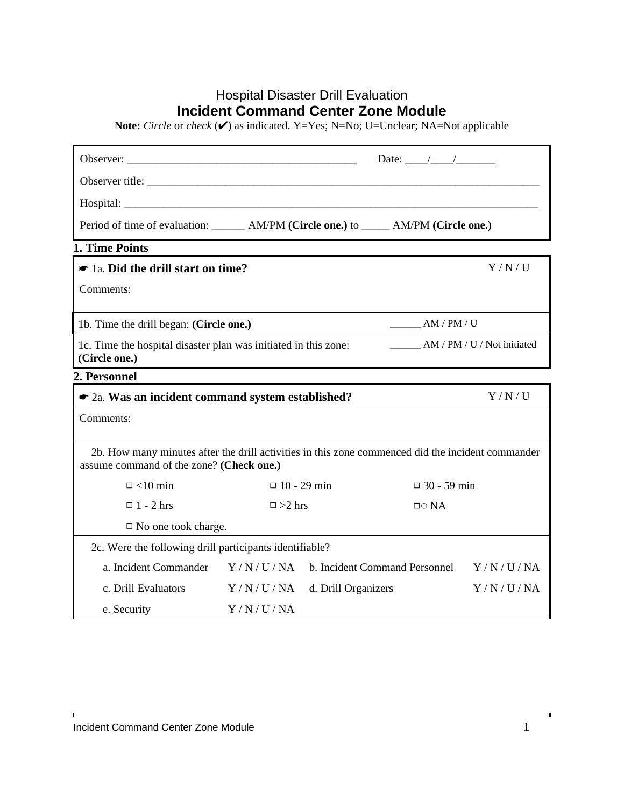## Hospital Disaster Drill Evaluation **Incident Command Center Zone Module**

Note: *Circle* or *check* (✔) as indicated. Y=Yes; N=No; U=Unclear; NA=Not applicable

| Observer title:                                                                        |                    |                                                                                                   |                                        |  |
|----------------------------------------------------------------------------------------|--------------------|---------------------------------------------------------------------------------------------------|----------------------------------------|--|
|                                                                                        |                    |                                                                                                   |                                        |  |
| Period of time of evaluation: _______ AM/PM (Circle one.) to _____ AM/PM (Circle one.) |                    |                                                                                                   |                                        |  |
| 1. Time Points                                                                         |                    |                                                                                                   |                                        |  |
| $\bullet$ 1a. Did the drill start on time?                                             |                    |                                                                                                   | Y/N/U                                  |  |
| Comments:                                                                              |                    |                                                                                                   |                                        |  |
| 1b. Time the drill began: (Circle one.)                                                |                    | $\frac{1}{2}AM/PM/ U$                                                                             |                                        |  |
| 1c. Time the hospital disaster plan was initiated in this zone:<br>(Circle one.)       |                    |                                                                                                   | __________ AM / PM / U / Not initiated |  |
| 2. Personnel                                                                           |                    |                                                                                                   |                                        |  |
| • 2a. Was an incident command system established?<br>Y/N/U                             |                    |                                                                                                   |                                        |  |
| Comments:                                                                              |                    |                                                                                                   |                                        |  |
| assume command of the zone? (Check one.)                                               |                    | 2b. How many minutes after the drill activities in this zone commenced did the incident commander |                                        |  |
| $\Box$ <10 min                                                                         | $\Box$ 10 - 29 min |                                                                                                   | $\Box$ 30 - 59 min                     |  |
| $\Box$ 1 - 2 hrs                                                                       | $\Box$ >2 hrs      | $\Box$ $\bigcirc$ NA                                                                              |                                        |  |
| $\Box$ No one took charge.                                                             |                    |                                                                                                   |                                        |  |
| 2c. Were the following drill participants identifiable?                                |                    |                                                                                                   |                                        |  |
| a. Incident Commander $Y/N/U/NA$                                                       |                    | b. Incident Command Personnel Y / N / U / NA                                                      |                                        |  |
|                                                                                        |                    |                                                                                                   |                                        |  |
| c. Drill Evaluators                                                                    | Y/N/U/NA           | d. Drill Organizers                                                                               | Y/N/U/NA                               |  |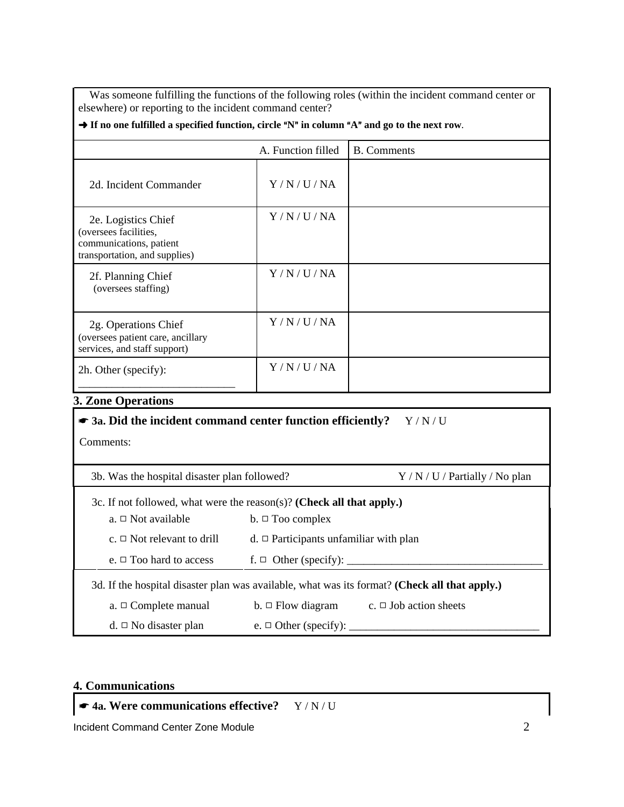Was someone fulfilling the functions of the following roles (within the incident command center or elsewhere) or reporting to the incident command center?

 $\rightarrow$  If no one fulfilled a specified function, circle  $\mathbf{A}^n$  in column  $\mathbf{A}^n$  and go to the next row.

|                                                                                                          | A. Function filled | <b>B.</b> Comments |
|----------------------------------------------------------------------------------------------------------|--------------------|--------------------|
| 2d. Incident Commander                                                                                   | Y/N/U/NA           |                    |
| 2e. Logistics Chief<br>(oversees facilities,<br>communications, patient<br>transportation, and supplies) | Y/N/U/NA           |                    |
| 2f. Planning Chief<br>(oversees staffing)                                                                | Y/N/U/NA           |                    |
| 2g. Operations Chief<br>(oversees patient care, ancillary<br>services, and staff support)                | Y/N/U/NA           |                    |
| 2h. Other (specify):                                                                                     | Y/N/U/NA           |                    |

#### **3. Zone Operations**

| $\bullet$ 3a. Did the incident command center function efficiently?<br>Y/N/U                                                        |                                                                      |                                 |  |
|-------------------------------------------------------------------------------------------------------------------------------------|----------------------------------------------------------------------|---------------------------------|--|
| Comments:                                                                                                                           |                                                                      |                                 |  |
| 3b. Was the hospital disaster plan followed?                                                                                        |                                                                      | Y / N / U / Partially / No plan |  |
| 3c. If not followed, what were the reason(s)? (Check all that apply.)<br>$a. \Box$ Not available<br>$c. \Box$ Not relevant to drill | $b. \Box$ Too complex<br>$d. \Box$ Participants unfamiliar with plan |                                 |  |
| e. $\Box$ Too hard to access                                                                                                        |                                                                      |                                 |  |
| 3d. If the hospital disaster plan was available, what was its format? (Check all that apply.)                                       |                                                                      |                                 |  |
| a. $\Box$ Complete manual                                                                                                           | $b. \Box$ Flow diagram c. $\Box$ Job action sheets                   |                                 |  |
| $d. \Box$ No disaster plan                                                                                                          |                                                                      |                                 |  |

#### **4. Communications**

 $\bullet$  **4a. Were communications effective?** Y/N/U

**Incident Command Center Zone Module 2** 2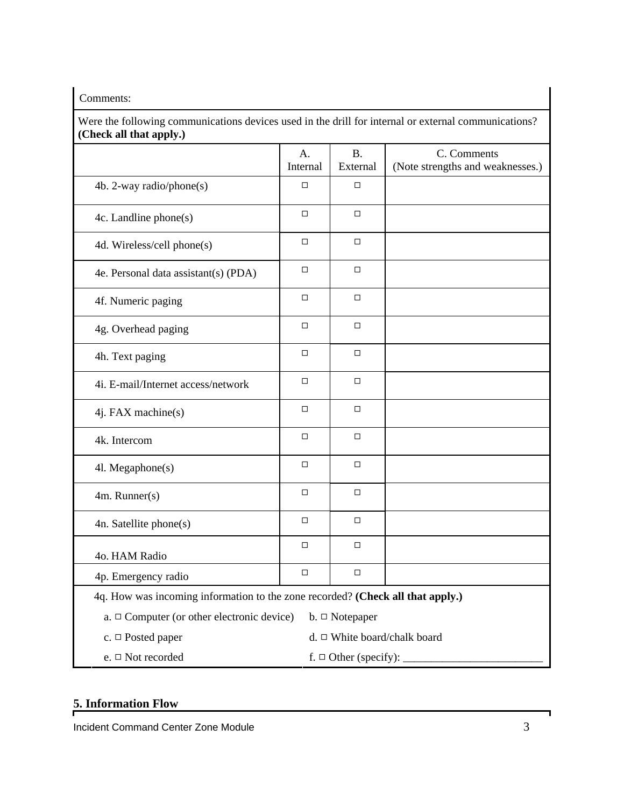#### Comments:

Were the following communications devices used in the drill for internal or external communications? **(Check all that apply.)**

|                                                                                | A.<br>Internal               | <b>B.</b><br>External | C. Comments<br>(Note strengths and weaknesses.) |  |
|--------------------------------------------------------------------------------|------------------------------|-----------------------|-------------------------------------------------|--|
| 4b. 2-way radio/phone(s)                                                       | $\Box$                       | □                     |                                                 |  |
| 4c. Landline phone(s)                                                          | $\Box$                       | $\Box$                |                                                 |  |
| 4d. Wireless/cell phone(s)                                                     | $\Box$                       | $\Box$                |                                                 |  |
| 4e. Personal data assistant(s) (PDA)                                           | $\Box$                       | $\Box$                |                                                 |  |
| 4f. Numeric paging                                                             | $\Box$                       | □                     |                                                 |  |
| 4g. Overhead paging                                                            | $\Box$                       | $\Box$                |                                                 |  |
| 4h. Text paging                                                                | $\Box$                       | $\Box$                |                                                 |  |
| 4i. E-mail/Internet access/network                                             | $\Box$                       | $\Box$                |                                                 |  |
| 4j. FAX machine(s)                                                             | □                            | □                     |                                                 |  |
| 4k. Intercom                                                                   | □                            | □                     |                                                 |  |
| 41. Megaphone(s)                                                               | □                            | □                     |                                                 |  |
| $4m.$ Runner(s)                                                                | $\Box$                       | $\Box$                |                                                 |  |
| 4n. Satellite phone(s)                                                         | $\Box$                       | $\Box$                |                                                 |  |
| 4o. HAM Radio                                                                  | $\Box$                       | $\Box$                |                                                 |  |
| 4p. Emergency radio                                                            | $\Box$                       | $\Box$                |                                                 |  |
| 4q. How was incoming information to the zone recorded? (Check all that apply.) |                              |                       |                                                 |  |
| a. $\Box$ Computer (or other electronic device)<br>$b. \Box$ Notepaper         |                              |                       |                                                 |  |
| $c. \Box$ Posted paper<br>d. □ White board/chalk board                         |                              |                       |                                                 |  |
| e. □ Not recorded                                                              | f. $\Box$ Other (specify): _ |                       |                                                 |  |

# **5. Information Flow**

Incident Command Center Zone Module 3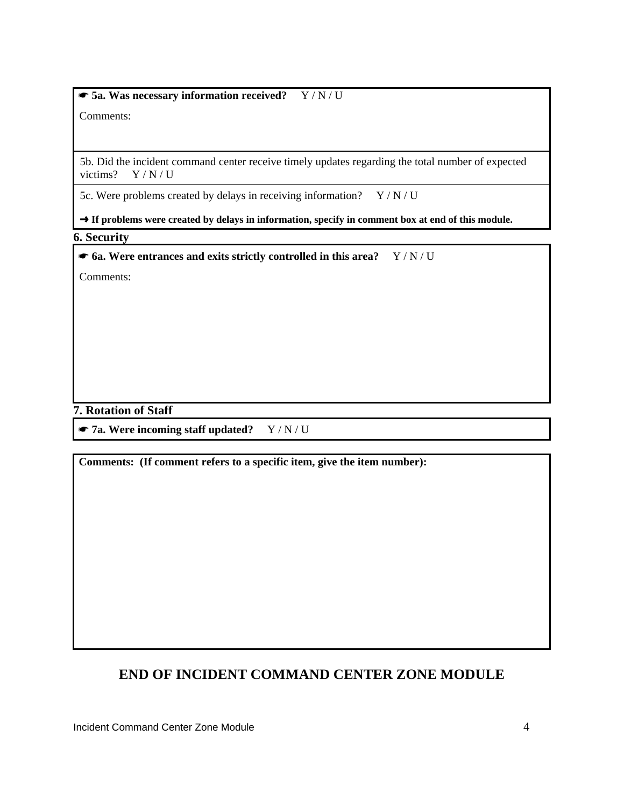$\bullet$  5a. Was necessary information received? Y/N/U

Comments:

5b. Did the incident command center receive timely updates regarding the total number of expected victims? Y / N / U

5c. Were problems created by delays in receiving information?  $Y / N / U$ 

º **If problems were created by delays in information, specify in comment box at end of this module.** 

#### **6. Security**

 $\bullet$  6a. Were entrances and exits strictly controlled in this area? Y/N/U

Comments:

#### **7. Rotation of Staff**

**■ 7a. Were incoming staff updated?** Y/N/U

**Comments: (If comment refers to a specific item, give the item number):** 

## **END OF INCIDENT COMMAND CENTER ZONE MODULE**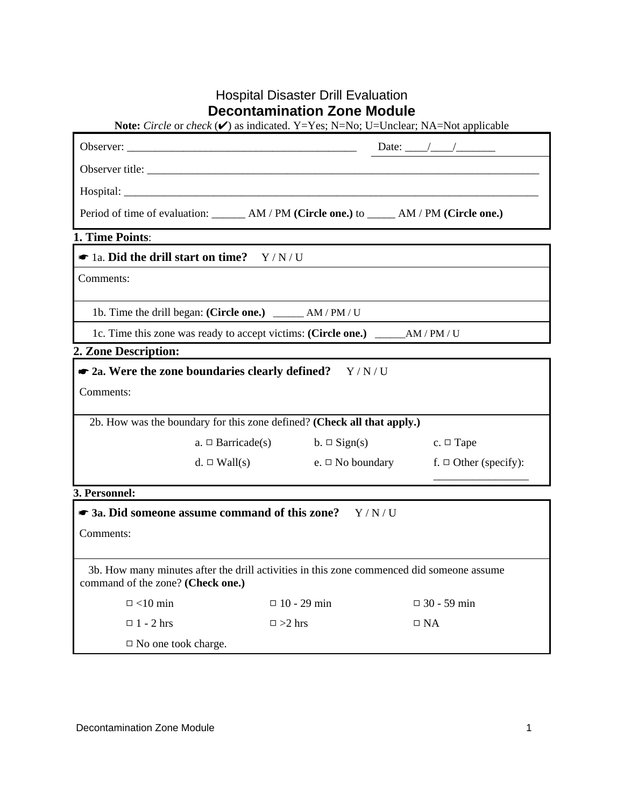## Hospital Disaster Drill Evaluation **Decontamination Zone Module**

|                                                                |                                                             | <b>Note:</b> Circle or check ( $\vee$ ) as indicated. Y=Yes; N=No; U=Unclear; NA=Not applicable |                            |
|----------------------------------------------------------------|-------------------------------------------------------------|-------------------------------------------------------------------------------------------------|----------------------------|
|                                                                |                                                             |                                                                                                 |                            |
|                                                                |                                                             |                                                                                                 |                            |
|                                                                |                                                             |                                                                                                 |                            |
|                                                                |                                                             | Period of time of evaluation: _______ AM / PM (Circle one.) to _____ AM / PM (Circle one.)      |                            |
| 1. Time Points:                                                |                                                             |                                                                                                 |                            |
| $\bullet$ 1a. Did the drill start on time? $Y/N/U$             |                                                             |                                                                                                 |                            |
| Comments:                                                      |                                                             |                                                                                                 |                            |
|                                                                | 1b. Time the drill began: (Circle one.) _______ AM / PM / U |                                                                                                 |                            |
|                                                                |                                                             | 1c. Time this zone was ready to accept victims: (Circle one.) _______AM/PM/U                    |                            |
| 2. Zone Description:                                           |                                                             |                                                                                                 |                            |
| Comments:                                                      |                                                             | 2b. How was the boundary for this zone defined? (Check all that apply.)                         |                            |
|                                                                | a. $\Box$ Barricade(s)                                      | $b. \Box$ Sign(s)                                                                               | c. $\square$ Tape          |
|                                                                | $d. \Box$ Wall(s)                                           | e. $\Box$ No boundary                                                                           | f. $\Box$ Other (specify): |
| 3. Personnel:                                                  |                                                             |                                                                                                 |                            |
| $\bullet$ 3a. Did someone assume command of this zone? $Y/N/U$ |                                                             |                                                                                                 |                            |
| Comments:                                                      |                                                             |                                                                                                 |                            |
| command of the zone? (Check one.)                              |                                                             | 3b. How many minutes after the drill activities in this zone commenced did someone assume       |                            |
| $\Box$ <10 min                                                 |                                                             | $\Box$ 10 - 29 min                                                                              | $\Box$ 30 - 59 min         |
| $\Box$ 1 - 2 hrs                                               | $\Box$ >2 hrs                                               |                                                                                                 | $\Box$ NA                  |
| $\Box$ No one took charge.                                     |                                                             |                                                                                                 |                            |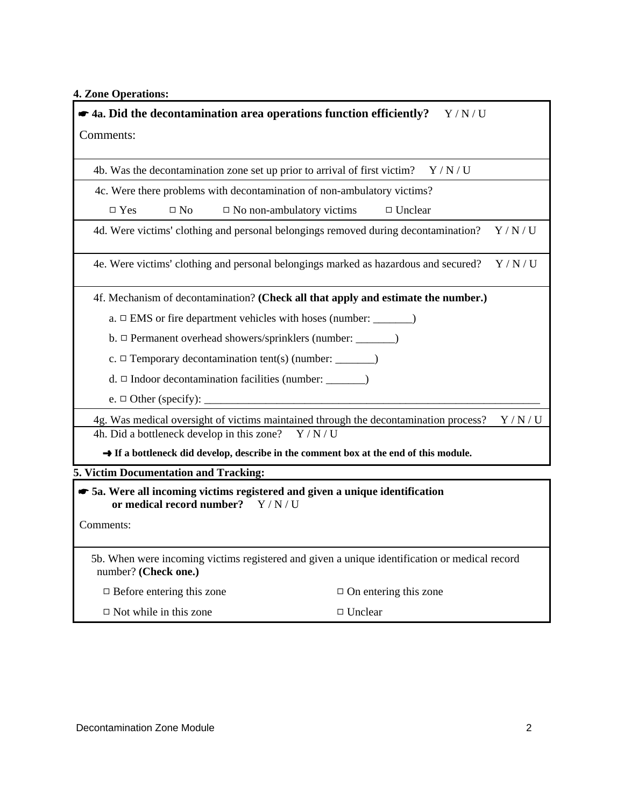| <b>4. Zone Operations:</b> |  |
|----------------------------|--|
|----------------------------|--|

| $\bullet$ 4a. Did the decontamination area operations function efficiently?                                                                              | Y/N/U                        |  |  |  |
|----------------------------------------------------------------------------------------------------------------------------------------------------------|------------------------------|--|--|--|
| Comments:                                                                                                                                                |                              |  |  |  |
|                                                                                                                                                          |                              |  |  |  |
| 4b. Was the decontamination zone set up prior to arrival of first victim? $Y/N/U$                                                                        |                              |  |  |  |
| 4c. Were there problems with decontamination of non-ambulatory victims?                                                                                  |                              |  |  |  |
| $\square$ Yes<br>$\square$ No<br>$\Box$ No non-ambulatory victims                                                                                        | $\Box$ Unclear               |  |  |  |
| 4d. Were victims' clothing and personal belongings removed during decontamination?                                                                       | Y/N/U                        |  |  |  |
| 4e. Were victims' clothing and personal belongings marked as hazardous and secured?                                                                      | Y/N/U                        |  |  |  |
| 4f. Mechanism of decontamination? (Check all that apply and estimate the number.)                                                                        |                              |  |  |  |
| $a. \Box$ EMS or fire department vehicles with hoses (number: _______)                                                                                   |                              |  |  |  |
| $b. \Box$ Permanent overhead showers/sprinklers (number: _______)                                                                                        |                              |  |  |  |
| c. $\Box$ Temporary decontamination tent(s) (number: ________)                                                                                           |                              |  |  |  |
| $d. \Box$ Indoor decontamination facilities (number: _______)                                                                                            |                              |  |  |  |
| e. $\Box$ Other (specify):                                                                                                                               |                              |  |  |  |
| 4g. Was medical oversight of victims maintained through the decontamination process?<br>Y / N / U<br>4h. Did a bottleneck develop in this zone?<br>Y/N/U |                              |  |  |  |
| • If a bottleneck did develop, describe in the comment box at the end of this module.                                                                    |                              |  |  |  |
| 5. Victim Documentation and Tracking:                                                                                                                    |                              |  |  |  |
| • 5a. Were all incoming victims registered and given a unique identification<br>or medical record number?<br>Y/N/U                                       |                              |  |  |  |
| Comments:                                                                                                                                                |                              |  |  |  |
| 5b. When were incoming victims registered and given a unique identification or medical record<br>number? (Check one.)                                    |                              |  |  |  |
| $\Box$ Before entering this zone                                                                                                                         | $\Box$ On entering this zone |  |  |  |
| $\Box$ Not while in this zone<br>$\Box$ Unclear                                                                                                          |                              |  |  |  |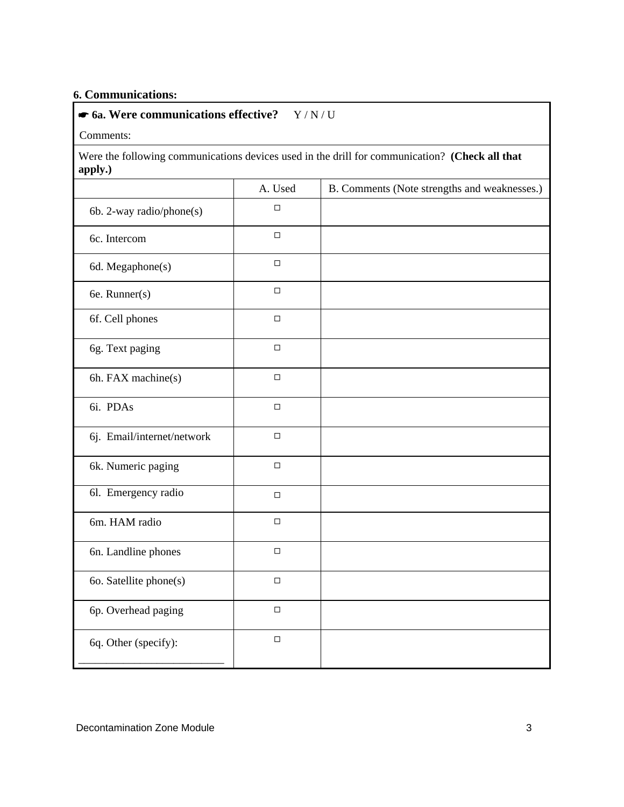#### **6. Communications:**

## **► 6a. Were communications effective?** Y/N/U

Comments:

Were the following communications devices used in the drill for communication? **(Check all that apply.)**

|                            | A. Used         | B. Comments (Note strengths and weaknesses.) |
|----------------------------|-----------------|----------------------------------------------|
| 6b. 2-way radio/phone(s)   | $\Box$          |                                              |
| 6c. Intercom               | $\Box$          |                                              |
| 6d. Megaphone(s)           | $\Box$          |                                              |
| 6e. Runner(s)              | $\Box$          |                                              |
| 6f. Cell phones            | $\Box$          |                                              |
| 6g. Text paging            | $\Box$          |                                              |
| 6h. FAX machine(s)         | $\Box$          |                                              |
| 6i. PDAs                   | $\Box$          |                                              |
| 6j. Email/internet/network | $\Box$          |                                              |
| 6k. Numeric paging         | $\Box$          |                                              |
| 6l. Emergency radio        | $\Box$          |                                              |
| 6m. HAM radio              | $\Box$          |                                              |
| 6n. Landline phones        | $\Box$          |                                              |
| 60. Satellite phone(s)     | $\hfill\square$ |                                              |
| 6p. Overhead paging        | $\hfill\square$ |                                              |
| 6q. Other (specify):       | $\Box$          |                                              |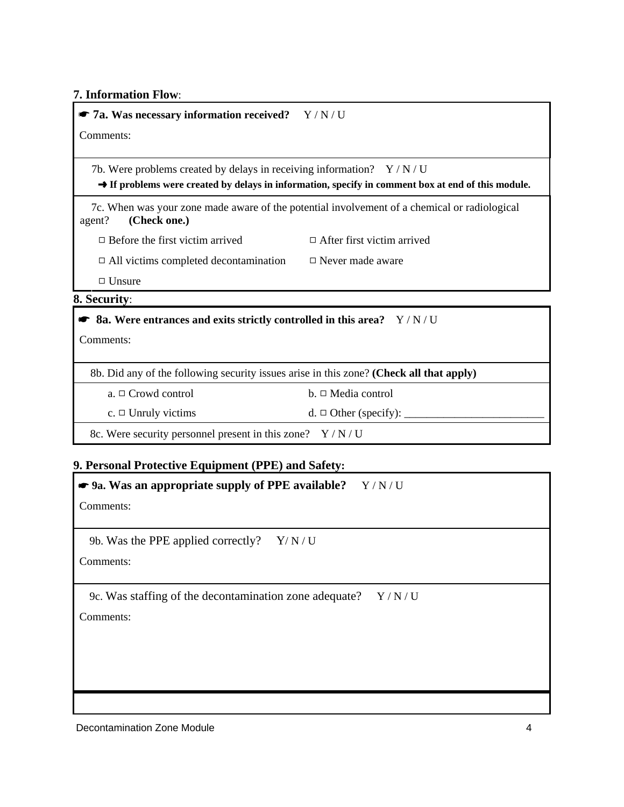#### **7. Information Flow**:

#### **The 7a. Was necessary information received?** Y/N/U

Comments:

7b. Were problems created by delays in receiving information?Y / N / U

• If problems were created by delays in information, specify in comment box at end of this module.

 7c. When was your zone made aware of the potential involvement of a chemical or radiological agent? **(Check one.)**

 $\Box$  Before the first victim arrived  $\Box$  After first victim arrived

 $\Box$  All victims completed decontamination  $\Box$  Never made aware

 $\Box$  Unsure

#### **8. Security**:

**• 8a.** Were entrances and exits strictly controlled in this area?  $Y / N / U$ 

Comments:

8b. Did any of the following security issues arise in this zone? **(Check all that apply)**

a.  $\Box$  Crowd control b.  $\Box$  Media control

c. 9 Unruly victims d. 9 Other (specify): \_\_\_\_\_\_\_\_\_\_\_\_\_\_\_\_\_\_\_\_\_\_\_\_\_

8c. Were security personnel present in this zone?  $Y / N / U$ 

### **9. Personal Protective Equipment (PPE) and Safety:**

|  |  |  | $\bullet$ 9a. Was an appropriate supply of PPE available? Y/N/U |  |
|--|--|--|-----------------------------------------------------------------|--|
|--|--|--|-----------------------------------------------------------------|--|

Comments:

9b. Was the PPE applied correctly?Y/ N / U

Comments:

9c. Was staffing of the decontamination zone adequate?  $Y / N / U$ 

Comments:

Decontamination Zone Module 4 and 2008 and 2008 and 2008 and 2008 and 2008 and 2008 and 2008 and 2008 and 2008 and 2008 and 2008 and 2008 and 2008 and 2008 and 2008 and 2008 and 2008 and 2008 and 2008 and 2008 and 2008 and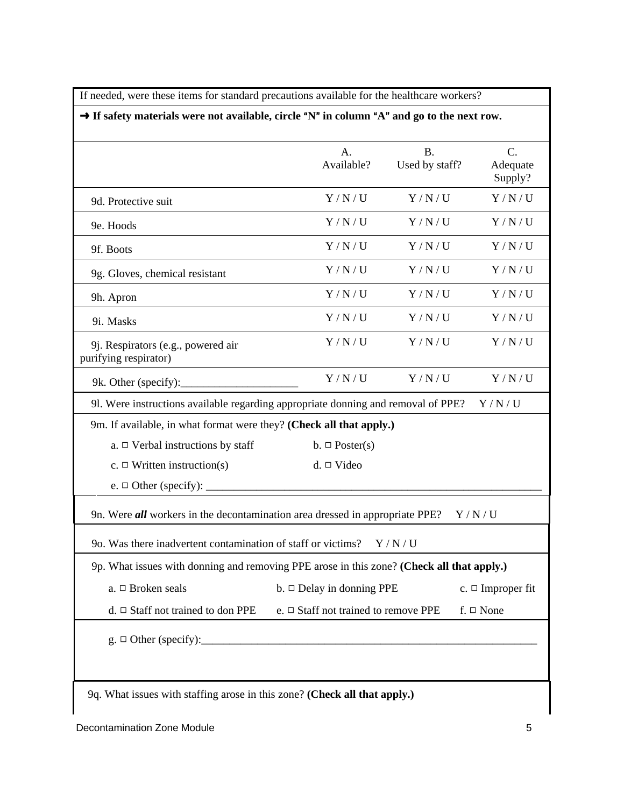If needed, were these items for standard precautions available for the healthcare workers?

|                                                                                           | A.<br>Available?                          | <b>B.</b><br>Used by staff? | C.<br>Adequate<br>Supply? |
|-------------------------------------------------------------------------------------------|-------------------------------------------|-----------------------------|---------------------------|
| 9d. Protective suit                                                                       | Y/N/U                                     | Y/N/U                       | Y/N/U                     |
| 9e. Hoods                                                                                 | Y/N/U                                     | Y/N/U                       | Y/N/U                     |
| 9f. Boots                                                                                 | Y/N/U                                     | Y/N/U                       | Y/N/U                     |
| 9g. Gloves, chemical resistant                                                            | Y/N/U                                     | Y/N/U                       | Y/N/U                     |
| 9h. Apron                                                                                 | Y/N/U                                     | Y/N/U                       | Y/N/U                     |
| 9i. Masks                                                                                 | Y/N/U                                     | Y/N/U                       | Y/N/U                     |
| 9j. Respirators (e.g., powered air<br>purifying respirator)                               | Y/N/U                                     | Y/N/U                       | Y/N/U                     |
| 9k. Other (specify):                                                                      | Y/N/U                                     | Y/N/U                       | Y/N/U                     |
| 91. Were instructions available regarding appropriate donning and removal of PPE?         |                                           |                             | Y/N/U                     |
| 9m. If available, in what format were they? (Check all that apply.)                       |                                           |                             |                           |
| a. $\Box$ Verbal instructions by staff                                                    | $b. \Box$ Poster(s)                       |                             |                           |
| c. $\Box$ Written instruction(s)                                                          | $d. \Box$ Video                           |                             |                           |
|                                                                                           |                                           |                             |                           |
| 9n. Were <i>all</i> workers in the decontamination area dressed in appropriate PPE?       |                                           |                             | Y/N/U                     |
| 90. Was there inadvertent contamination of staff or victims?                              |                                           | Y/N/U                       |                           |
| 9p. What issues with donning and removing PPE arose in this zone? (Check all that apply.) |                                           |                             |                           |
| a. $\Box$ Broken seals                                                                    | $b. \Box$ Delay in donning PPE            |                             | c. $\Box$ Improper fit    |
| $d. \Box$ Staff not trained to don PPE                                                    | e. $\Box$ Staff not trained to remove PPE |                             | f. $\Box$ None            |
|                                                                                           |                                           |                             |                           |
|                                                                                           |                                           |                             |                           |

Decontamination Zone Module 5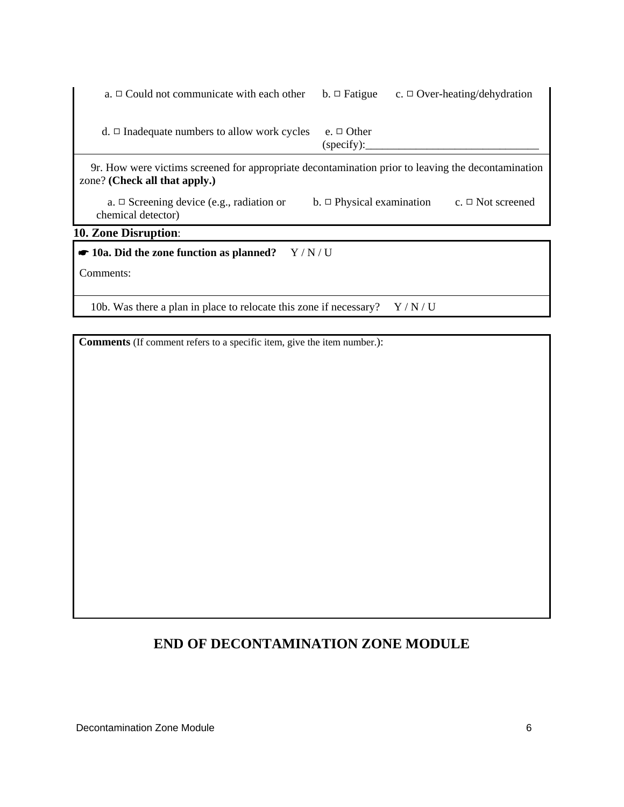a.  $\Box$  Could not communicate with each other b.  $\Box$  Fatigue c.  $\Box$  Over-heating/dehydration

d.  $\Box$  Inadequate numbers to allow work cycles e.  $\Box$  Other  $(specify):$ 

 9r. How were victims screened for appropriate decontamination prior to leaving the decontamination zone? **(Check all that apply.)**

a.  $\Box$  Screening device (e.g., radiation or chemical detector)  $b. \Box$  Physical examination c.  $\Box$  Not screened

**10. Zone Disruption**:

**• 10a. Did the zone function as planned? Y** / N / U

Comments:

10b. Was there a plan in place to relocate this zone if necessary?  $Y / N / U$ 

**Comments** (If comment refers to a specific item, give the item number.):

## **END OF DECONTAMINATION ZONE MODULE**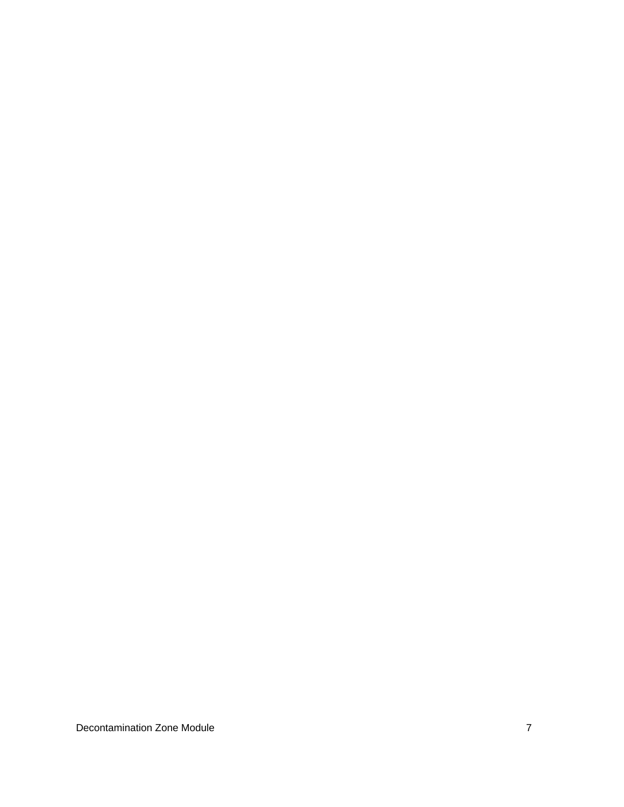Decontamination Zone Module 7 and 2008 7 and 2008 7 and 2008 7 and 2008 7 and 2008 7 and 2008 7 and 2008 7 and 2008 7 and 2008 7 and 2008 7 and 2008 7 and 2008 7 and 2008 7 and 2008 7 and 2008 7 and 2008 7 and 2008 7 and 2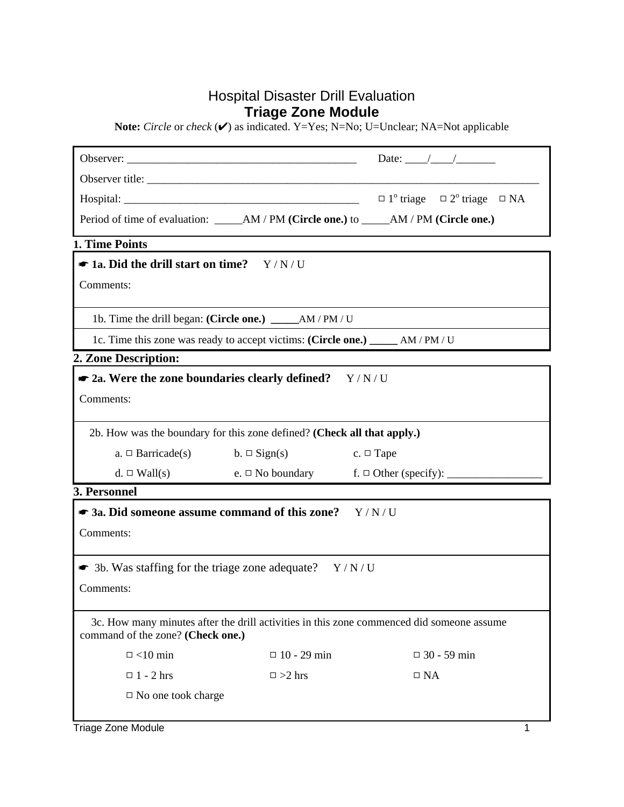## Hospital Disaster Drill Evaluation **Triage Zone Module**

Note: *Circle* or *check* ( $\nu$ ) as indicated. Y=Yes; N=No; U=Unclear; NA=Not applicable

|                                                                                                                                |                    | Date: $\frac{\sqrt{2}}{2}$                                                            |  |  |  |
|--------------------------------------------------------------------------------------------------------------------------------|--------------------|---------------------------------------------------------------------------------------|--|--|--|
|                                                                                                                                |                    |                                                                                       |  |  |  |
|                                                                                                                                |                    |                                                                                       |  |  |  |
|                                                                                                                                |                    | Period of time of evaluation: _____AM / PM (Circle one.) to ____AM / PM (Circle one.) |  |  |  |
| 1. Time Points                                                                                                                 |                    |                                                                                       |  |  |  |
| $\bullet$ 1a. Did the drill start on time? $Y/N/U$                                                                             |                    |                                                                                       |  |  |  |
| Comments:                                                                                                                      |                    |                                                                                       |  |  |  |
| 1b. Time the drill began: (Circle one.) _______ AM / PM / U                                                                    |                    |                                                                                       |  |  |  |
| 1c. Time this zone was ready to accept victims: (Circle one.) ______ AM/PM/U                                                   |                    |                                                                                       |  |  |  |
| 2. Zone Description:                                                                                                           |                    |                                                                                       |  |  |  |
| $\bullet$ 2a. Were the zone boundaries clearly defined? Y/N/U                                                                  |                    |                                                                                       |  |  |  |
| Comments:                                                                                                                      |                    |                                                                                       |  |  |  |
| 2b. How was the boundary for this zone defined? (Check all that apply.)                                                        |                    |                                                                                       |  |  |  |
| a. $\Box$ Barricade(s) b. $\Box$ Sign(s)<br>c. $\square$ Tape                                                                  |                    |                                                                                       |  |  |  |
|                                                                                                                                |                    |                                                                                       |  |  |  |
| 3. Personnel                                                                                                                   |                    |                                                                                       |  |  |  |
| $\bullet$ 3a. Did someone assume command of this zone? $Y/N/U$                                                                 |                    |                                                                                       |  |  |  |
| Comments:                                                                                                                      |                    |                                                                                       |  |  |  |
| • 3b. Was staffing for the triage zone adequate? $Y/N/U$                                                                       |                    |                                                                                       |  |  |  |
| Comments:                                                                                                                      |                    |                                                                                       |  |  |  |
| 3c. How many minutes after the drill activities in this zone commenced did someone assume<br>command of the zone? (Check one.) |                    |                                                                                       |  |  |  |
| $\Box$ <10 min                                                                                                                 | $\Box$ 10 - 29 min | $\Box$ 30 - 59 min                                                                    |  |  |  |
| $\Box$ 1 - 2 hrs                                                                                                               | $\Box$ >2 hrs      | $\square$ NA                                                                          |  |  |  |
| $\Box$ No one took charge                                                                                                      |                    |                                                                                       |  |  |  |

Triage Zone Module 1 and 1 and 1 and 1 and 1 and 1 and 1 and 1 and 1 and 1 and 1 and 1 and 1 and 1 and 1 and 1 and 1 and 1 and 1 and 1 and 1 and 1 and 1 and 1 and 1 and 1 and 1 and 1 and 1 and 1 and 1 and 1 and 1 and 1 and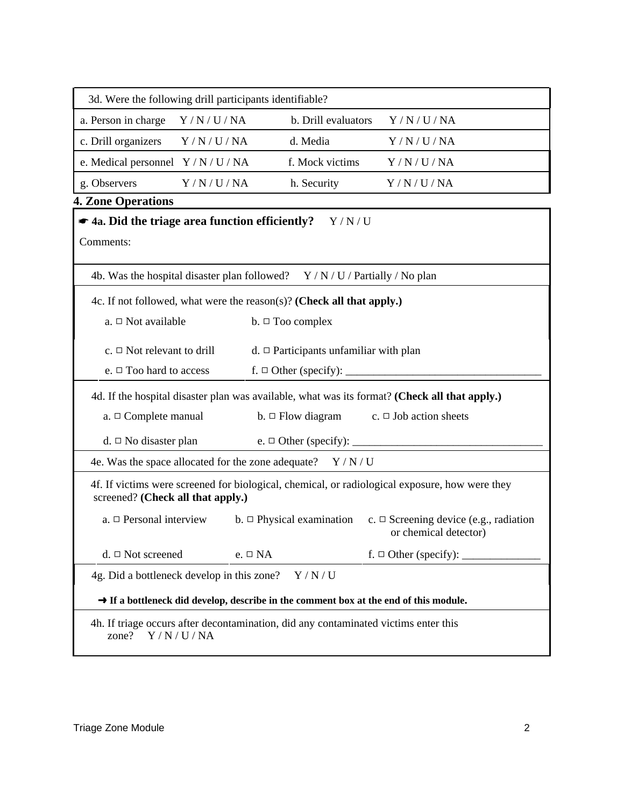| 3d. Were the following drill participants identifiable?                        |          |                                                                                     |                                                                                                                                  |  |
|--------------------------------------------------------------------------------|----------|-------------------------------------------------------------------------------------|----------------------------------------------------------------------------------------------------------------------------------|--|
| a. Person in charge                                                            | Y/N/U/NA | b. Drill evaluators                                                                 | Y/N/U/NA                                                                                                                         |  |
| c. Drill organizers Y / N / U / NA                                             |          | d. Media                                                                            | Y/N/U/NA                                                                                                                         |  |
| e. Medical personnel $Y/N/U/NA$                                                |          | f. Mock victims                                                                     | Y/N/U/NA                                                                                                                         |  |
| g. Observers                                                                   | Y/N/U/NA | h. Security                                                                         | Y/N/U/NA                                                                                                                         |  |
| <b>4. Zone Operations</b>                                                      |          |                                                                                     |                                                                                                                                  |  |
|                                                                                |          | $\bullet$ 4a. Did the triage area function efficiently? $Y/N/U$                     |                                                                                                                                  |  |
| Comments:                                                                      |          |                                                                                     |                                                                                                                                  |  |
|                                                                                |          | 4b. Was the hospital disaster plan followed? $Y/N/U$ / Partially / No plan          |                                                                                                                                  |  |
|                                                                                |          | 4c. If not followed, what were the reason(s)? (Check all that apply.)               |                                                                                                                                  |  |
| $a. \Box$ Not available                                                        |          | $b. \Box$ Too complex                                                               |                                                                                                                                  |  |
|                                                                                |          |                                                                                     |                                                                                                                                  |  |
| $c. \Box$ Not relevant to drill<br>$d. \Box$ Participants unfamiliar with plan |          |                                                                                     |                                                                                                                                  |  |
| $e. \Box$ Too hard to access                                                   |          |                                                                                     |                                                                                                                                  |  |
|                                                                                |          |                                                                                     | 4d. If the hospital disaster plan was available, what was its format? (Check all that apply.)                                    |  |
| a. $\Box$ Complete manual                                                      |          | $b. \Box$ Flow diagram                                                              | c. $\Box$ Job action sheets                                                                                                      |  |
| $d. \Box$ No disaster plan                                                     |          |                                                                                     |                                                                                                                                  |  |
|                                                                                |          | 4e. Was the space allocated for the zone adequate? $Y / N / U$                      |                                                                                                                                  |  |
| screened? (Check all that apply.)                                              |          |                                                                                     | 4f. If victims were screened for biological, chemical, or radiological exposure, how were they                                   |  |
|                                                                                |          |                                                                                     | a. $\Box$ Personal interview b. $\Box$ Physical examination c. $\Box$ Screening device (e.g., radiation<br>or chemical detector) |  |
| $d. \Box$ Not screened                                                         |          | $e. \Box NA$                                                                        | f. $\Box$ Other (specify): _                                                                                                     |  |
| 4g. Did a bottleneck develop in this zone?                                     |          | Y/N/U                                                                               |                                                                                                                                  |  |
|                                                                                |          | If a bottleneck did develop, describe in the comment box at the end of this module. |                                                                                                                                  |  |
| zone?                                                                          | Y/N/U/NA | 4h. If triage occurs after decontamination, did any contaminated victims enter this |                                                                                                                                  |  |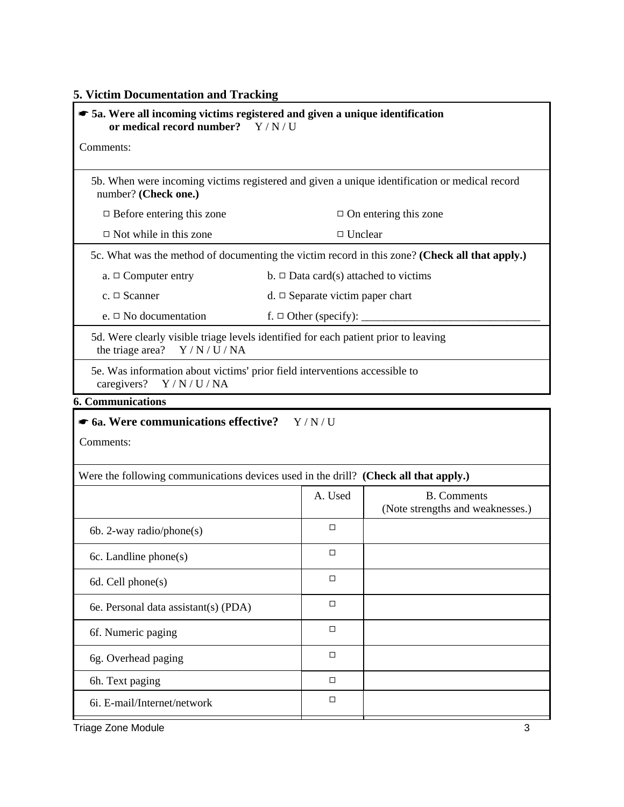# **5. Victim Documentation and Tracking**

| • 5a. Were all incoming victims registered and given a unique identification<br>or medical record number?<br>Y/N/U    |                                       |                                                        |  |  |
|-----------------------------------------------------------------------------------------------------------------------|---------------------------------------|--------------------------------------------------------|--|--|
| Comments:                                                                                                             |                                       |                                                        |  |  |
| 5b. When were incoming victims registered and given a unique identification or medical record<br>number? (Check one.) |                                       |                                                        |  |  |
| $\Box$ Before entering this zone                                                                                      |                                       | $\Box$ On entering this zone                           |  |  |
| $\Box$ Not while in this zone                                                                                         | $\Box$ Unclear                        |                                                        |  |  |
| 5c. What was the method of documenting the victim record in this zone? (Check all that apply.)                        |                                       |                                                        |  |  |
| a. $\Box$ Computer entry                                                                                              |                                       | $b. \Box$ Data card(s) attached to victims             |  |  |
| $c. \Box$ Scanner                                                                                                     | $d. \Box$ Separate victim paper chart |                                                        |  |  |
| e. $\Box$ No documentation                                                                                            | f. $\Box$ Other (specify): _          |                                                        |  |  |
| 5d. Were clearly visible triage levels identified for each patient prior to leaving<br>the triage area?<br>Y/N/U/NA   |                                       |                                                        |  |  |
| 5e. Was information about victims' prior field interventions accessible to<br>caregivers?<br>Y/N/U/NA                 |                                       |                                                        |  |  |
| <b>6. Communications</b>                                                                                              |                                       |                                                        |  |  |
| Ga. Were communications effective?<br>Comments:                                                                       | Y/N/U                                 |                                                        |  |  |
| Were the following communications devices used in the drill? (Check all that apply.)                                  |                                       |                                                        |  |  |
|                                                                                                                       | A. Used                               | <b>B.</b> Comments<br>(Note strengths and weaknesses.) |  |  |
| 6b. 2-way radio/phone(s)                                                                                              | □                                     |                                                        |  |  |
| 6c. Landline phone(s)                                                                                                 | □                                     |                                                        |  |  |
| $\Box$<br>6d. Cell phone(s)                                                                                           |                                       |                                                        |  |  |
| 6e. Personal data assistant(s) (PDA)                                                                                  | □                                     |                                                        |  |  |
| 6f. Numeric paging                                                                                                    | □                                     |                                                        |  |  |
| 6g. Overhead paging                                                                                                   | □                                     |                                                        |  |  |
| 6h. Text paging                                                                                                       | □                                     |                                                        |  |  |
| 6i. E-mail/Internet/network                                                                                           | □                                     |                                                        |  |  |

Triage Zone Module 3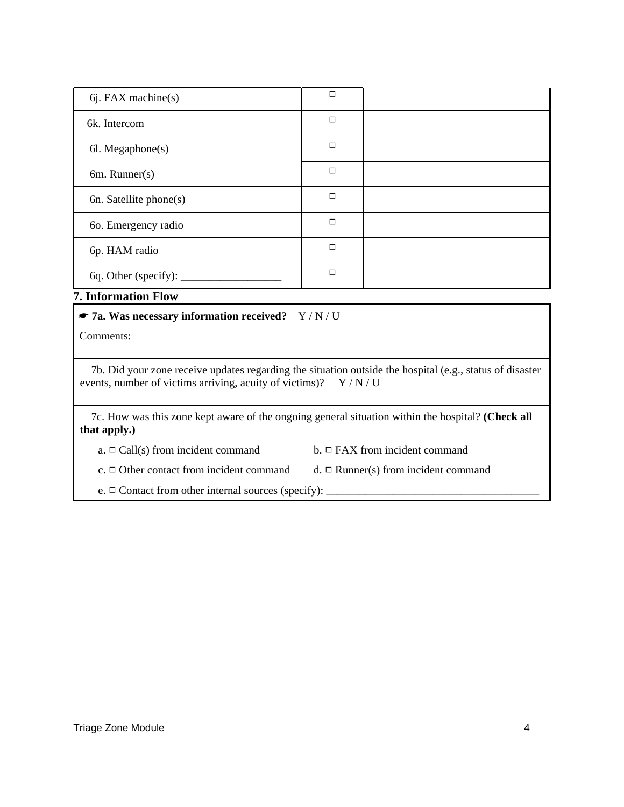| 6j. FAX machine(s)     | $\Box$ |  |
|------------------------|--------|--|
| 6k. Intercom           | $\Box$ |  |
| 6l. Megaphone(s)       | $\Box$ |  |
| $6m.$ Runner $(s)$     | $\Box$ |  |
| 6n. Satellite phone(s) | □      |  |
| 60. Emergency radio    | □      |  |
| 6p. HAM radio          | □      |  |
|                        | □      |  |

#### **7. Information Flow**

**Ta. Was necessary information received?** Y/N/U

Comments:

 7b. Did your zone receive updates regarding the situation outside the hospital (e.g., status of disaster events, number of victims arriving, acuity of victims)?  $Y / N / U$ 

 7c. How was this zone kept aware of the ongoing general situation within the hospital? **(Check all that apply.)**

a.  $\Box$  Call(s) from incident command b.  $\Box$  FAX from incident command

c.  $\Box$  Other contact from incident command d.  $\Box$  Runner(s) from incident command

e.  $\Box$  Contact from other internal sources (specify):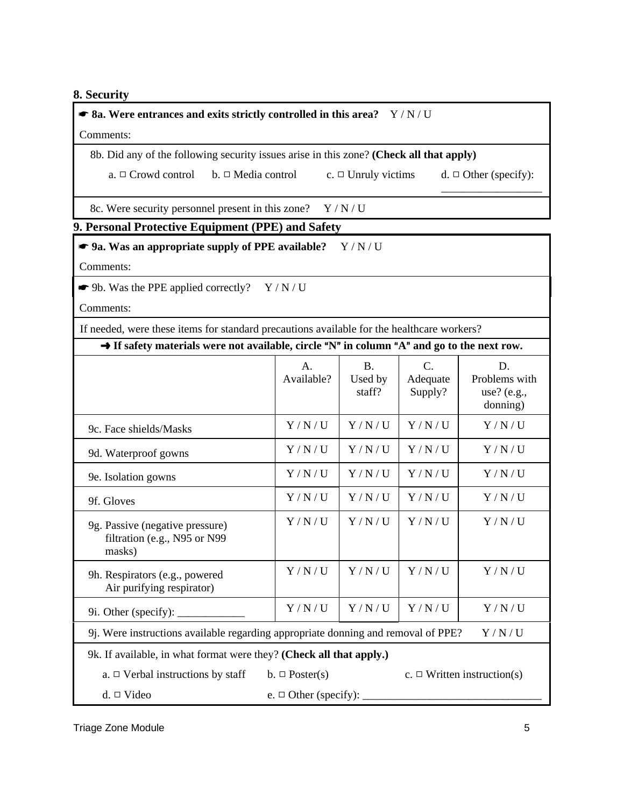**8. Security**

| • 8a. Were entrances and exits strictly controlled in this area? $Y/N/U$                               |                              |                                |                           |                                                |
|--------------------------------------------------------------------------------------------------------|------------------------------|--------------------------------|---------------------------|------------------------------------------------|
| Comments:                                                                                              |                              |                                |                           |                                                |
| 8b. Did any of the following security issues arise in this zone? (Check all that apply)                |                              |                                |                           |                                                |
| $b. \Box$ Media control<br>$a. \Box$ Crowd control                                                     |                              | $c. \Box$ Unruly victims       |                           | d. $\Box$ Other (specify):                     |
| 8c. Were security personnel present in this zone? $Y/N/U$                                              |                              |                                |                           |                                                |
| 9. Personal Protective Equipment (PPE) and Safety                                                      |                              |                                |                           |                                                |
| • 9a. Was an appropriate supply of PPE available?                                                      |                              | Y/N/U                          |                           |                                                |
| Comments:                                                                                              |                              |                                |                           |                                                |
| • 9b. Was the PPE applied correctly?                                                                   | Y/N/U                        |                                |                           |                                                |
| Comments:                                                                                              |                              |                                |                           |                                                |
| If needed, were these items for standard precautions available for the healthcare workers?             |                              |                                |                           |                                                |
| $\rightarrow$ If safety materials were not available, circle "N" in column "A" and go to the next row. |                              |                                |                           |                                                |
|                                                                                                        | A <sub>1</sub><br>Available? | <b>B.</b><br>Used by<br>staff? | C.<br>Adequate<br>Supply? | D.<br>Problems with<br>use? (e.g.,<br>donning) |
| 9c. Face shields/Masks                                                                                 | Y/N/U                        | Y/N/U                          | Y/N/U                     | Y/N/U                                          |
| 9d. Waterproof gowns                                                                                   | Y/N/U                        | Y/N/U                          | Y/N/U                     | Y/N/U                                          |
| 9e. Isolation gowns                                                                                    | Y/N/U                        | Y/N/U                          | Y/N/U                     | Y/N/U                                          |
| 9f. Gloves                                                                                             | Y/N/U                        | Y/N/U                          | Y/N/U                     | Y/N/U                                          |
| 9g. Passive (negative pressure)<br>filtration (e.g., N95 or N99<br>masks)                              | Y/N/U                        | Y/N/U                          | Y/N/U                     | Y/N/U                                          |
| 9h. Respirators (e.g., powered<br>Air purifying respirator)                                            | Y/N/U                        | Y/N/U                          | Y/N/U                     | Y/N/U                                          |
| 9i. Other (specify): $\overline{\phantom{a}}$                                                          | Y/N/U                        | Y/N/U                          | Y/N/U                     | Y/N/U                                          |
| 9 <i>j</i> . Were instructions available regarding appropriate donning and removal of PPE?             |                              |                                |                           | Y/N/U                                          |
| 9k. If available, in what format were they? (Check all that apply.)                                    |                              |                                |                           |                                                |
| a. $\Box$ Verbal instructions by staff                                                                 | $b. \Box$ Poster(s)          |                                |                           | c. $\Box$ Written instruction(s)               |
| $d. \Box$ Video                                                                                        | e. $\Box$ Other (specify):   |                                |                           |                                                |

**Triage Zone Module 5 and 2008 Cone Service 2008 Cone Service 2008 Cone Service 2008 Cone Service 2008 Cone Service 30 Automobile 30 Automobile 30 Automobile 30 Automobile 30 Automobile 30 Automobile 30 Automobile 30 Autom**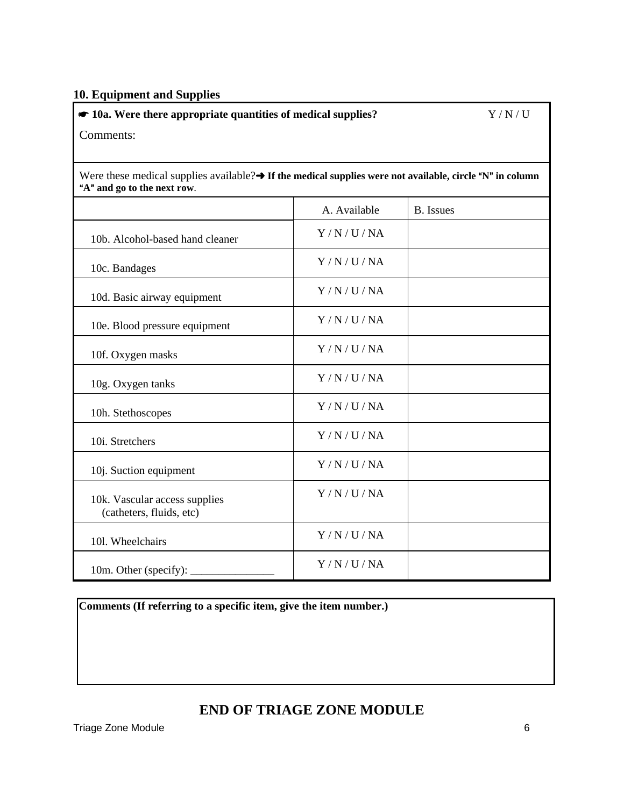#### **10. Equipment and Supplies**

|  | $\bullet$ 10a. Were there appropriate quantities of medical supplies? | Y/N/U |
|--|-----------------------------------------------------------------------|-------|
|--|-----------------------------------------------------------------------|-------|

Comments:

Were these medical supplies available? $\rightarrow$  If the medical supplies were not available, circle "N" in column A**A**@ **and go to the next row**.

|                                                           | A. Available | <b>B.</b> Issues |
|-----------------------------------------------------------|--------------|------------------|
| 10b. Alcohol-based hand cleaner                           | Y/N/U/NA     |                  |
| 10c. Bandages                                             | Y/N/U/NA     |                  |
| 10d. Basic airway equipment                               | Y/N/U/NA     |                  |
| 10e. Blood pressure equipment                             | Y/N/U/NA     |                  |
| 10f. Oxygen masks                                         | Y/N/U/NA     |                  |
| 10g. Oxygen tanks                                         | Y/N/U/NA     |                  |
| 10h. Stethoscopes                                         | Y/N/U/NA     |                  |
| 10i. Stretchers                                           | Y/N/U/NA     |                  |
| 10j. Suction equipment                                    | Y/N/U/NA     |                  |
| 10k. Vascular access supplies<br>(catheters, fluids, etc) | Y/N/U/NA     |                  |
| 101. Wheelchairs                                          | Y/N/U/NA     |                  |
|                                                           | Y/N/U/NA     |                  |

**Comments (If referring to a specific item, give the item number.)**

## **END OF TRIAGE ZONE MODULE**

Triage Zone Module 6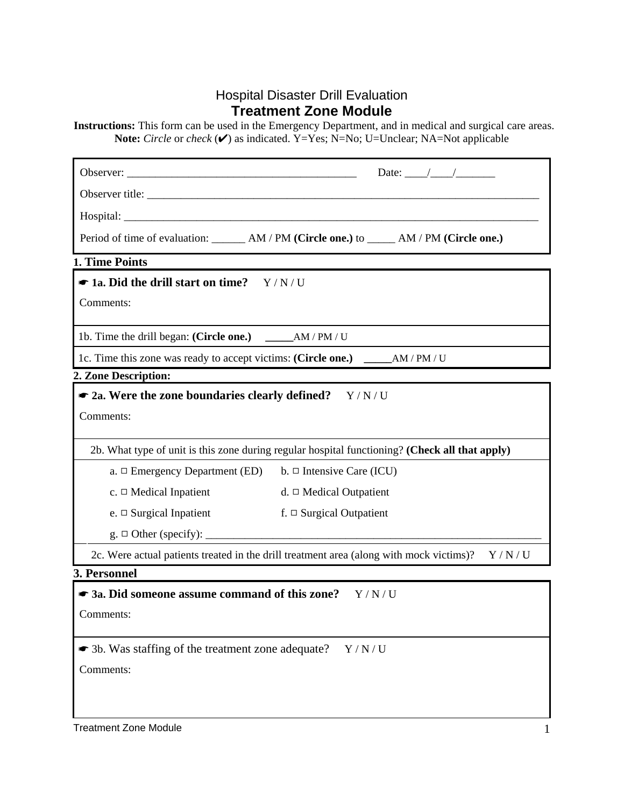## Hospital Disaster Drill Evaluation **Treatment Zone Module**

**Instructions:** This form can be used in the Emergency Department, and in medical and surgical care areas. **Note:** *Circle* or *check* (✔) as indicated. Y=Yes; N=No; U=Unclear; NA=Not applicable

| Date: $\frac{\sqrt{2}}{2}$                                                                      |
|-------------------------------------------------------------------------------------------------|
|                                                                                                 |
|                                                                                                 |
| Period of time of evaluation: _______ AM / PM (Circle one.) to _____ AM / PM (Circle one.)      |
| 1. Time Points                                                                                  |
| $\bullet$ 1a. Did the drill start on time? $Y/N/U$                                              |
| Comments:                                                                                       |
| 1b. Time the drill began: (Circle one.) _______AM / PM / U                                      |
| 1c. Time this zone was ready to accept victims: (Circle one.) ______AM/PM/U                     |
| 2. Zone Description:                                                                            |
| $\bullet$ 2a. Were the zone boundaries clearly defined? Y/N/U                                   |
| Comments:                                                                                       |
| 2b. What type of unit is this zone during regular hospital functioning? (Check all that apply)  |
| a. $\Box$ Emergency Department (ED)<br>$b. \Box$ Intensive Care (ICU)                           |
| $d. \Box$ Medical Outpatient<br>c. $\Box$ Medical Inpatient                                     |
| e. $\Box$ Surgical Inpatient<br>f. $\Box$ Surgical Outpatient                                   |
|                                                                                                 |
| 2c. Were actual patients treated in the drill treatment area (along with mock victims)? $Y/N/U$ |
| 3. Personnel                                                                                    |
| $\bullet$ 3a. Did someone assume command of this zone? $Y/N/U$                                  |
| Comments:                                                                                       |
| • 3b. Was staffing of the treatment zone adequate?<br>Y/N/U                                     |
| Comments:                                                                                       |
|                                                                                                 |
|                                                                                                 |

Treatment Zone Module 1 and 1 and 2 and 2 and 2 and 2 and 2 and 2 and 2 and 2 and 2 and 2 and 2 and 2 and 2 and 2 and 2 and 2 and 2 and 2 and 2 and 2 and 2 and 2 and 2 and 2 and 2 and 2 and 2 and 2 and 2 and 2 and 2 and 2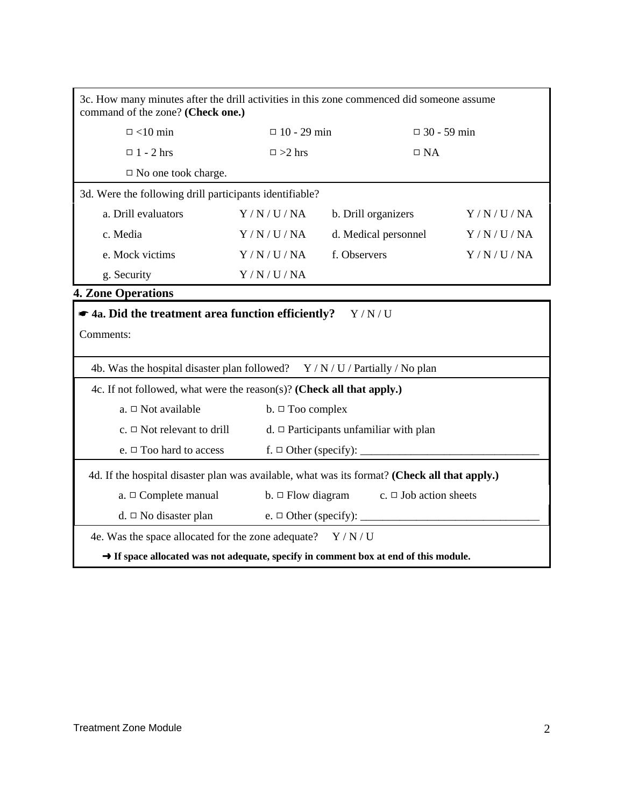| 3c. How many minutes after the drill activities in this zone commenced did someone assume<br>command of the zone? (Check one.) |                                               |                      |          |  |  |
|--------------------------------------------------------------------------------------------------------------------------------|-----------------------------------------------|----------------------|----------|--|--|
| $\Box$ <10 min                                                                                                                 | $\Box$ 10 - 29 min                            | $\Box$ 30 - 59 min   |          |  |  |
| $\Box$ 1 - 2 hrs                                                                                                               | $\Box$ >2 hrs                                 | $\square$ NA         |          |  |  |
| $\Box$ No one took charge.                                                                                                     |                                               |                      |          |  |  |
| 3d. Were the following drill participants identifiable?                                                                        |                                               |                      |          |  |  |
| a. Drill evaluators                                                                                                            | Y/N/U/NA                                      | b. Drill organizers  | Y/N/U/NA |  |  |
| c. Media                                                                                                                       | Y/N/U/NA                                      | d. Medical personnel | Y/N/U/NA |  |  |
| e. Mock victims                                                                                                                | f. Observers<br>Y/N/U/NA                      |                      | Y/N/U/NA |  |  |
| g. Security                                                                                                                    | Y/N/U/NA                                      |                      |          |  |  |
| <b>4. Zone Operations</b>                                                                                                      |                                               |                      |          |  |  |
| $\bullet$ 4a. Did the treatment area function efficiently? Y/N/U                                                               |                                               |                      |          |  |  |
| Comments:                                                                                                                      |                                               |                      |          |  |  |
| 4b. Was the hospital disaster plan followed? $Y/N/U$ / Partially / No plan                                                     |                                               |                      |          |  |  |
| 4c. If not followed, what were the reason(s)? (Check all that apply.)                                                          |                                               |                      |          |  |  |
| $a. \Box$ Not available                                                                                                        | $b. \Box$ Too complex                         |                      |          |  |  |
| c. $\Box$ Not relevant to drill                                                                                                | $d. \n\Box$ Participants unfamiliar with plan |                      |          |  |  |
| e. $\Box$ Too hard to access                                                                                                   |                                               |                      |          |  |  |
| 4d. If the hospital disaster plan was available, what was its format? (Check all that apply.)                                  |                                               |                      |          |  |  |
| $b. \Box$ Flow diagram c. $\Box$ Job action sheets<br>a. $\Box$ Complete manual                                                |                                               |                      |          |  |  |
| $d. \Box$ No disaster plan                                                                                                     |                                               |                      |          |  |  |
| 4e. Was the space allocated for the zone adequate? $Y/N/U$                                                                     |                                               |                      |          |  |  |
| → If space allocated was not adequate, specify in comment box at end of this module.                                           |                                               |                      |          |  |  |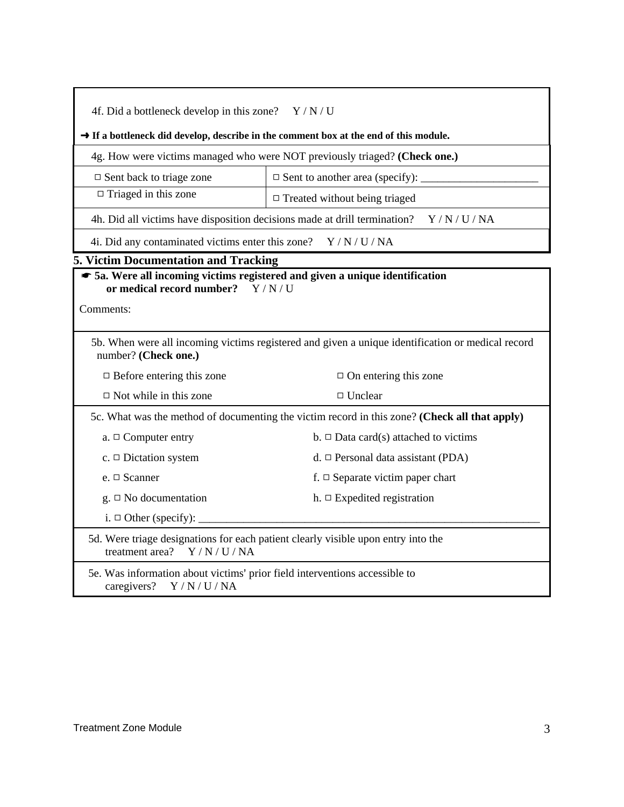| 4f. Did a bottleneck develop in this zone?<br>Y/N/U                                                   |                                                                                                   |  |  |  |  |
|-------------------------------------------------------------------------------------------------------|---------------------------------------------------------------------------------------------------|--|--|--|--|
|                                                                                                       | $\rightarrow$ If a bottleneck did develop, describe in the comment box at the end of this module. |  |  |  |  |
|                                                                                                       | 4g. How were victims managed who were NOT previously triaged? (Check one.)                        |  |  |  |  |
| $\Box$ Sent back to triage zone                                                                       | $\Box$ Sent to another area (specify):                                                            |  |  |  |  |
| $\Box$ Triaged in this zone                                                                           | $\Box$ Treated without being triaged                                                              |  |  |  |  |
| 4h. Did all victims have disposition decisions made at drill termination?                             | Y/N/U/NA                                                                                          |  |  |  |  |
| 4 <i>i</i> . Did any contaminated victims enter this zone?                                            | Y/N/U/NA                                                                                          |  |  |  |  |
| 5. Victim Documentation and Tracking                                                                  |                                                                                                   |  |  |  |  |
| or medical record number?<br>Comments:                                                                | • 5a. Were all incoming victims registered and given a unique identification<br>Y/N/U             |  |  |  |  |
| number? (Check one.)                                                                                  | 5b. When were all incoming victims registered and given a unique identification or medical record |  |  |  |  |
| $\Box$ Before entering this zone                                                                      | $\Box$ On entering this zone                                                                      |  |  |  |  |
| $\Box$ Not while in this zone                                                                         | $\Box$ Unclear                                                                                    |  |  |  |  |
|                                                                                                       | 5c. What was the method of documenting the victim record in this zone? (Check all that apply)     |  |  |  |  |
| a. $\Box$ Computer entry                                                                              | b. $\Box$ Data card(s) attached to victims                                                        |  |  |  |  |
| $c. \Box$ Dictation system                                                                            | $d. \Box$ Personal data assistant (PDA)                                                           |  |  |  |  |
| e. $\square$ Scanner                                                                                  | f. $\Box$ Separate victim paper chart                                                             |  |  |  |  |
| $g \in \mathbb{N}$ No documentation                                                                   | h. $\Box$ Expedited registration                                                                  |  |  |  |  |
| i. $\Box$ Other (specify):                                                                            |                                                                                                   |  |  |  |  |
| treatment area? $Y/N/U/NA$                                                                            | 5d. Were triage designations for each patient clearly visible upon entry into the                 |  |  |  |  |
| 5e. Was information about victims' prior field interventions accessible to<br>Y/N/U/NA<br>caregivers? |                                                                                                   |  |  |  |  |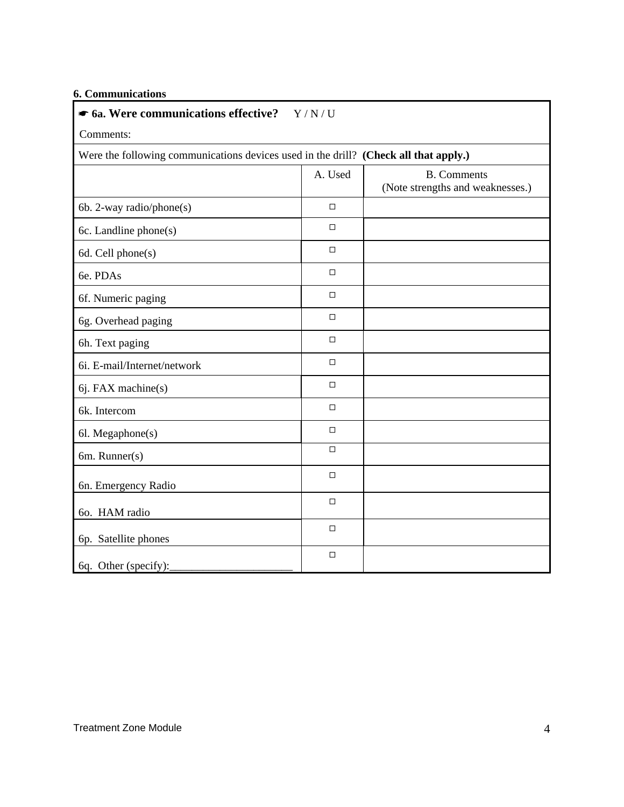#### **6. Communications**

| • 6a. Were communications effective?                                                 | Y/N/U   |                                                        |
|--------------------------------------------------------------------------------------|---------|--------------------------------------------------------|
| Comments:                                                                            |         |                                                        |
| Were the following communications devices used in the drill? (Check all that apply.) |         |                                                        |
|                                                                                      | A. Used | <b>B.</b> Comments<br>(Note strengths and weaknesses.) |
| 6b. 2-way radio/phone(s)                                                             | $\Box$  |                                                        |
| 6c. Landline phone(s)                                                                | □       |                                                        |
| 6d. Cell phone(s)                                                                    | □       |                                                        |
| 6e. PDAs                                                                             | $\Box$  |                                                        |
| 6f. Numeric paging                                                                   | $\Box$  |                                                        |
| 6g. Overhead paging                                                                  | $\Box$  |                                                        |
| 6h. Text paging                                                                      | $\Box$  |                                                        |
| 6i. E-mail/Internet/network                                                          | □       |                                                        |
| 6j. FAX machine(s)                                                                   | □       |                                                        |
| 6k. Intercom                                                                         | $\Box$  |                                                        |
| 6l. Megaphone(s)                                                                     | $\Box$  |                                                        |
| 6m. Runner(s)                                                                        | $\Box$  |                                                        |
| 6n. Emergency Radio                                                                  | □       |                                                        |
| 60. HAM radio                                                                        | □       |                                                        |
| 6p. Satellite phones                                                                 | $\Box$  |                                                        |
| 6q. Other (specify):                                                                 | $\Box$  |                                                        |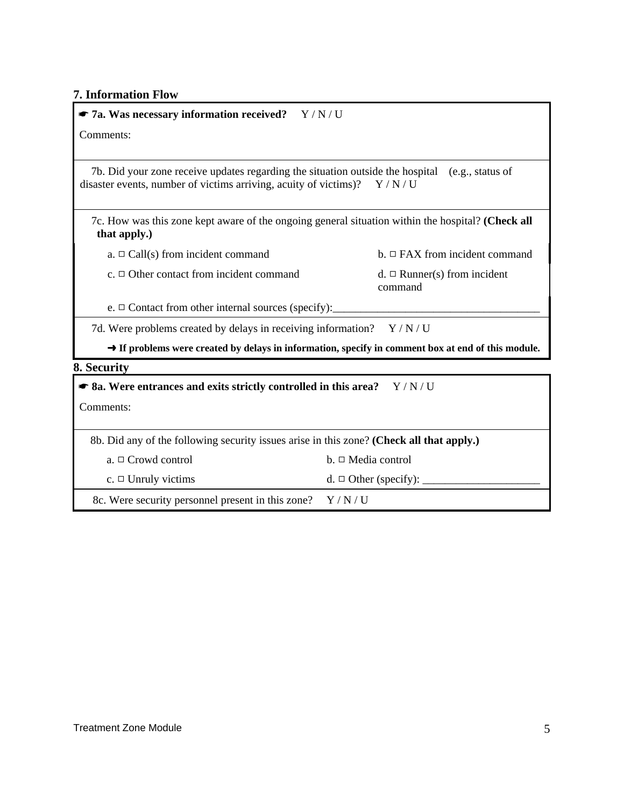#### **7. Information Flow**

**Ta. Was necessary information received?** Y/N/U

Comments:

 7b. Did your zone receive updates regarding the situation outside the hospital (e.g., status of disaster events, number of victims arriving, acuity of victims)?  $Y / N / U$ 

 7c. How was this zone kept aware of the ongoing general situation within the hospital? **(Check all that apply.)**

a.  $\Box$  Call(s) from incident command b.  $\Box$  FAX from incident command

c.  $\Box$  Other contact from incident command d.  $\Box$  Runner(s) from incident

command

e. 9 Contact from other internal sources (specify):\_\_\_\_\_\_\_\_\_\_\_\_\_\_\_\_\_\_\_\_\_\_\_\_\_\_\_\_\_\_\_\_\_\_\_\_\_

7d. Were problems created by delays in receiving information?  $Y / N / U$ 

• If problems were created by delays in information, specify in comment box at end of this module.

**8. Security**

**■ 8a. Were entrances and exits strictly controlled in this area?** Y/N/U

Comments:

8b. Did any of the following security issues arise in this zone? **(Check all that apply.)**

a.  $\Box$  Crowd control b.  $\Box$  Media control

c.  $\Box$  Unruly victims d.  $\Box$  Other (specify):

8c. Were security personnel present in this zone?  $Y / N / U$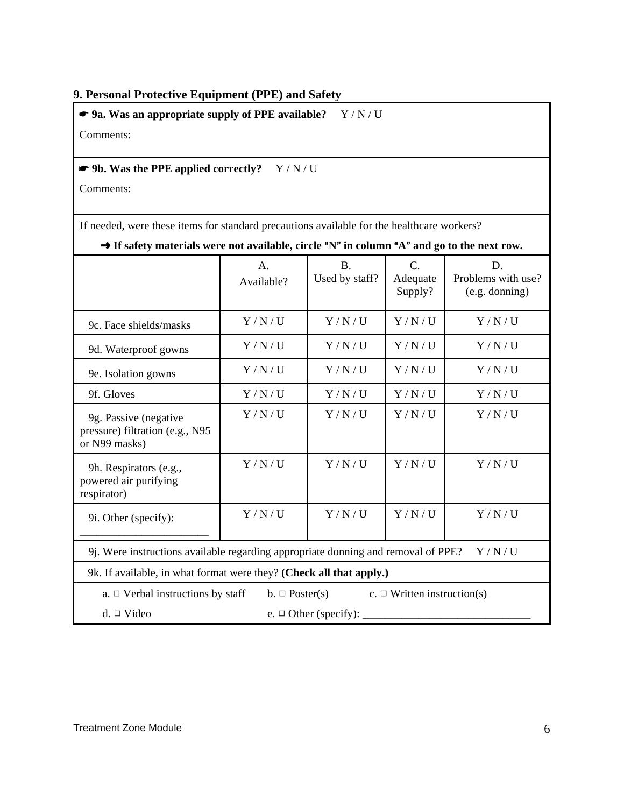#### **9. Personal Protective Equipment (PPE) and Safety**

**• 9a. Was an appropriate supply of PPE available?**  $Y / N / U$ 

Comments:

#### **The 9b. Was the PPE applied correctly?**  $Y / N / U$

Comments:

If needed, were these items for standard precautions available for the healthcare workers?

| If safety materials were not available, en ele-iv-in-column-11-anie go to the next row.           |                              |                             |                                        |                                            |  |
|---------------------------------------------------------------------------------------------------|------------------------------|-----------------------------|----------------------------------------|--------------------------------------------|--|
|                                                                                                   | $\mathsf{A}$ .<br>Available? | <b>B.</b><br>Used by staff? | $\mathcal{C}$ .<br>Adequate<br>Supply? | D.<br>Problems with use?<br>(e.g. donning) |  |
| 9c. Face shields/masks                                                                            | Y/N/U                        | Y/N/U                       | Y/N/U                                  | Y/N/U                                      |  |
| 9d. Waterproof gowns                                                                              | Y/N/U                        | Y/N/U                       | Y/N/U                                  | Y/N/U                                      |  |
| 9e. Isolation gowns                                                                               | Y/N/U                        | Y/N/U                       | Y/N/U                                  | Y/N/U                                      |  |
| 9f. Gloves                                                                                        | Y/N/U                        | Y/N/U                       | Y/N/U                                  | Y/N/U                                      |  |
| 9g. Passive (negative<br>pressure) filtration (e.g., N95<br>or N99 masks)                         | Y/N/U                        | Y/N/U                       | Y/N/U                                  | Y/N/U                                      |  |
| 9h. Respirators (e.g.,<br>powered air purifying<br>respirator)                                    | Y/N/U                        | Y/N/U                       | Y/N/U                                  | Y/N/U                                      |  |
| 9i. Other (specify):                                                                              | Y/N/U                        | Y/N/U                       | Y/N/U                                  | Y/N/U                                      |  |
| 9j. Were instructions available regarding appropriate donning and removal of PPE?<br>Y/N/U        |                              |                             |                                        |                                            |  |
| 9k. If available, in what format were they? (Check all that apply.)                               |                              |                             |                                        |                                            |  |
| a. $\Box$ Verbal instructions by staff<br>$b. \Box$ Poster(s)<br>c. $\Box$ Written instruction(s) |                              |                             |                                        |                                            |  |
| $d. \Box$ Video<br>e. $\Box$ Other (specify): _                                                   |                              |                             |                                        |                                            |  |

 $\rightarrow$  **If** safety materials were not available, circle "N" in column "A" and go to the next row.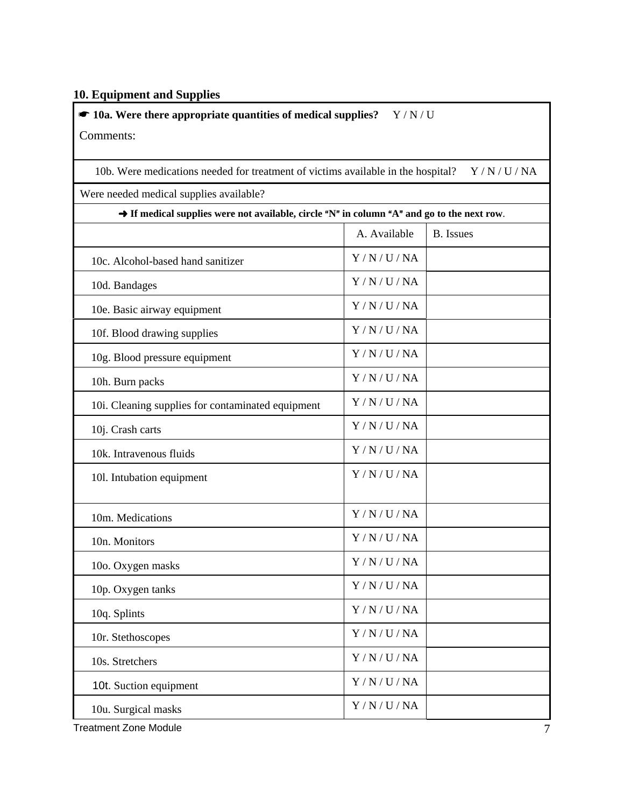#### **10. Equipment and Supplies**

# **•** 10a. Were there appropriate quantities of medical supplies? **Y** / N / U

Comments:

10b. Were medications needed for treatment of victims available in the hospital?  $Y / N / U / NA$ 

Were needed medical supplies available?

| $\rightarrow$ If medical supplies were not available, circle "N" in column "A" and go to the next row. |              |                  |  |  |
|--------------------------------------------------------------------------------------------------------|--------------|------------------|--|--|
|                                                                                                        | A. Available | <b>B.</b> Issues |  |  |
| 10c. Alcohol-based hand sanitizer                                                                      | Y/N/U/NA     |                  |  |  |
| 10d. Bandages                                                                                          | Y/N/U/NA     |                  |  |  |
| 10e. Basic airway equipment                                                                            | Y/N/U/NA     |                  |  |  |
| 10f. Blood drawing supplies                                                                            | Y/N/U/NA     |                  |  |  |
| 10g. Blood pressure equipment                                                                          | Y/N/U/NA     |                  |  |  |
| 10h. Burn packs                                                                                        | Y/N/U/NA     |                  |  |  |
| 10i. Cleaning supplies for contaminated equipment                                                      | Y/N/U/NA     |                  |  |  |
| 10j. Crash carts                                                                                       | Y/N/U/NA     |                  |  |  |
| 10k. Intravenous fluids                                                                                | Y/N/U/NA     |                  |  |  |
| 101. Intubation equipment                                                                              | Y/N/U/NA     |                  |  |  |
| 10m. Medications                                                                                       | Y/N/U/NA     |                  |  |  |
| 10n. Monitors                                                                                          | Y/N/U/NA     |                  |  |  |
| 10o. Oxygen masks                                                                                      | Y/N/U/NA     |                  |  |  |
| 10p. Oxygen tanks                                                                                      | Y/N/U/NA     |                  |  |  |
| 10q. Splints                                                                                           | Y/N/U/NA     |                  |  |  |
| 10r. Stethoscopes                                                                                      | Y/N/U/NA     |                  |  |  |
| 10s. Stretchers                                                                                        | Y/N/U/NA     |                  |  |  |
| 10t. Suction equipment                                                                                 | Y/N/U/NA     |                  |  |  |
| 10u. Surgical masks                                                                                    | Y/N/U/NA     |                  |  |  |

Treatment Zone Module 7 2008 7 2009 7 2009 7 2009 7 2009 7 2009 7 2009 7 2009 7 2009 7 2009 7 2009 7 2009 7 2009 7 2009 7 2009 7 2009 7 2009 7 2009 7 2009 7 2009 7 2009 7 2009 7 2009 7 2009 7 2009 7 2009 7 2009 7 2009 7 20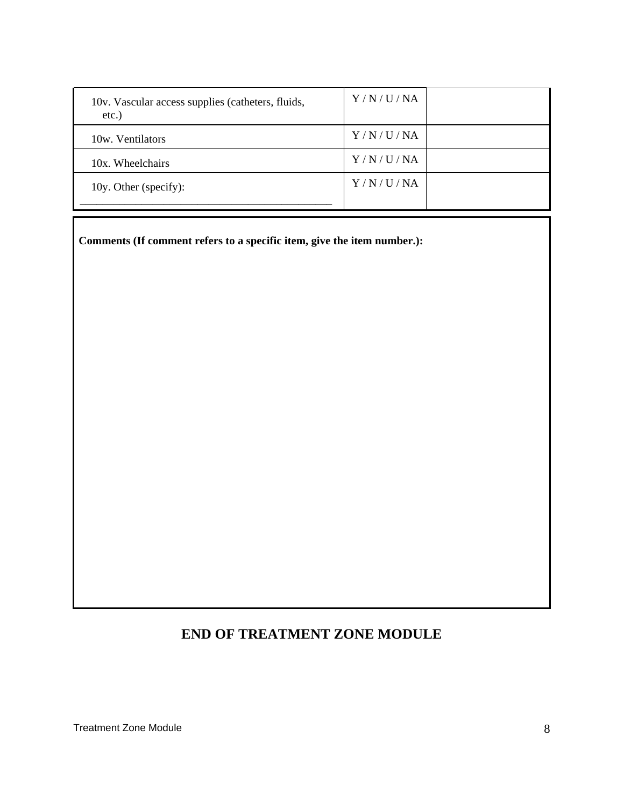| 10v. Vascular access supplies (catheters, fluids,<br>$etc.$ ) | Y/N/U/NA |  |
|---------------------------------------------------------------|----------|--|
| 10w. Ventilators                                              | Y/N/U/NA |  |
| 10x. Wheelchairs                                              | Y/N/U/NA |  |
| 10y. Other (specify):                                         | Y/N/U/NA |  |
|                                                               |          |  |

**Comments (If comment refers to a specific item, give the item number.):**

## **END OF TREATMENT ZONE MODULE**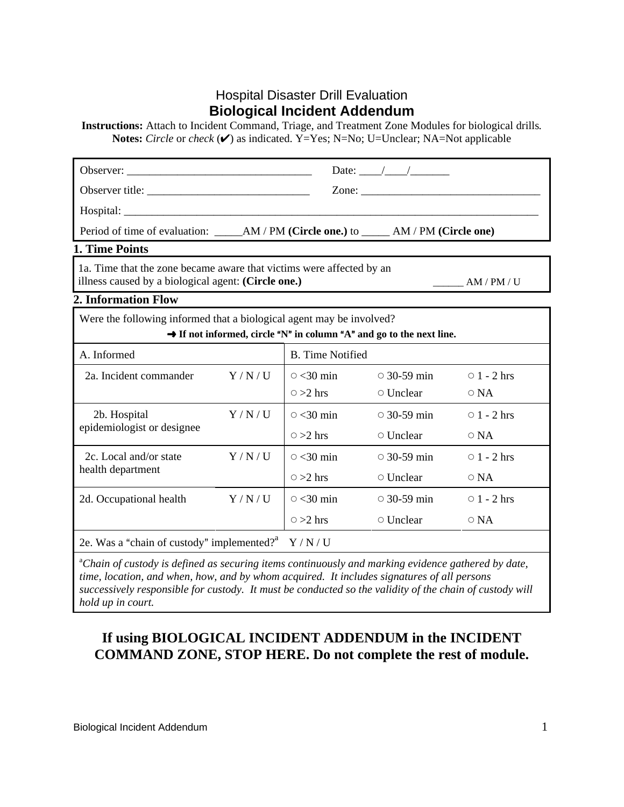## Hospital Disaster Drill Evaluation **Biological Incident Addendum**

#### **Instructions:** Attach to Incident Command, Triage, and Treatment Zone Modules for biological drills*.*  Notes: *Circle* or *check* ( $\vee$ ) as indicated. Y=Yes; N=No; U=Unclear; NA=Not applicable

| Observer title:                                                                                                             |                                                                                         |                  |                                                                                  |                   |  |
|-----------------------------------------------------------------------------------------------------------------------------|-----------------------------------------------------------------------------------------|------------------|----------------------------------------------------------------------------------|-------------------|--|
|                                                                                                                             |                                                                                         |                  |                                                                                  |                   |  |
|                                                                                                                             | Period of time of evaluation: _____AM / PM (Circle one.) to ______ AM / PM (Circle one) |                  |                                                                                  |                   |  |
| 1. Time Points                                                                                                              |                                                                                         |                  |                                                                                  |                   |  |
| 1a. Time that the zone became aware that victims were affected by an<br>illness caused by a biological agent: (Circle one.) |                                                                                         |                  |                                                                                  | AM / PM / U       |  |
| <b>2. Information Flow</b>                                                                                                  |                                                                                         |                  |                                                                                  |                   |  |
| Were the following informed that a biological agent may be involved?                                                        |                                                                                         |                  | $\rightarrow$ If not informed, circle "N" in column "A" and go to the next line. |                   |  |
| A. Informed                                                                                                                 |                                                                                         | B. Time Notified |                                                                                  |                   |  |
| 2a. Incident commander                                                                                                      | Y/N/U                                                                                   | $\circ$ < 30 min | $\circ$ 30-59 min                                                                | $\circ$ 1 - 2 hrs |  |
|                                                                                                                             |                                                                                         | $\circ$ >2 hrs   | $\circ$ Unclear                                                                  | $\circ$ NA        |  |
| 2b. Hospital                                                                                                                | Y/N/U                                                                                   | $\circ$ < 30 min | $\circ$ 30-59 min                                                                | $\circ$ 1 - 2 hrs |  |
| epidemiologist or designee                                                                                                  |                                                                                         | $\circ$ >2 hrs   | $\circ$ Unclear                                                                  | $\circ$ NA        |  |
| 2c. Local and/or state                                                                                                      | Y/N/U                                                                                   | $\circ$ < 30 min | $\circ$ 30-59 min                                                                | $\circ$ 1 - 2 hrs |  |
| health department                                                                                                           |                                                                                         | $\circ$ >2 hrs   | $\circ$ Unclear                                                                  | $\circ$ NA        |  |
| 2d. Occupational health                                                                                                     | Y/N/U                                                                                   | $\circ$ < 30 min | $\circ$ 30-59 min                                                                | $\circ$ 1 - 2 hrs |  |
|                                                                                                                             |                                                                                         | $\circ$ >2 hrs   | $\circ$ Unclear                                                                  | $\circ$ NA        |  |
|                                                                                                                             | 2e. Was a "chain of custody" implemented? $a^a$<br>Y/N/U                                |                  |                                                                                  |                   |  |

<sup>a</sup>Chain of custody is defined as securing items continuously and marking evidence gathered by date, *time, location, and when, how, and by whom acquired. It includes signatures of all persons successively responsible for custody. It must be conducted so the validity of the chain of custody will hold up in court.*

## **If using BIOLOGICAL INCIDENT ADDENDUM in the INCIDENT COMMAND ZONE, STOP HERE. Do not complete the rest of module.**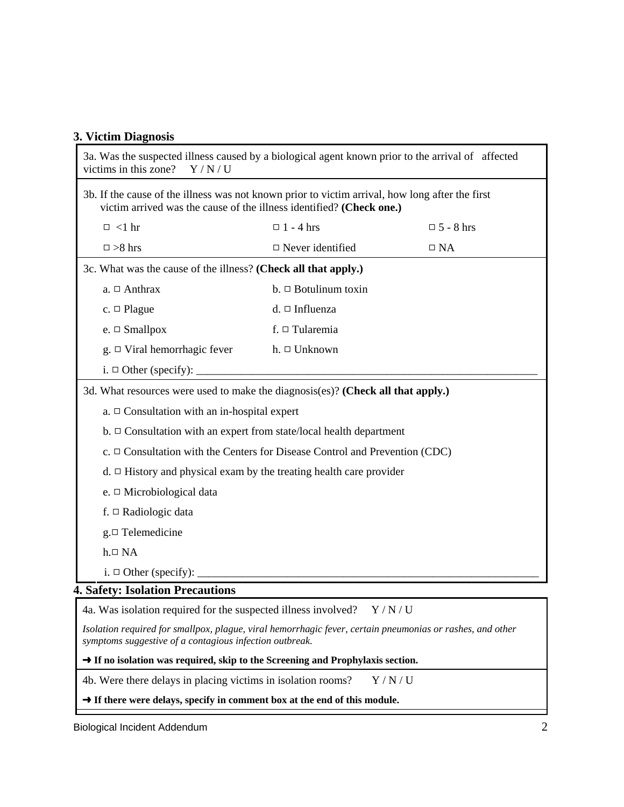# **3. Victim Diagnosis**

| 3a. Was the suspected illness caused by a biological agent known prior to the arrival of affected<br>victims in this zone?<br>Y/N/U                                     |                                                   |                  |  |  |  |  |
|-------------------------------------------------------------------------------------------------------------------------------------------------------------------------|---------------------------------------------------|------------------|--|--|--|--|
| 3b. If the cause of the illness was not known prior to victim arrival, how long after the first<br>victim arrived was the cause of the illness identified? (Check one.) |                                                   |                  |  |  |  |  |
| $\Box$ <1 hr                                                                                                                                                            | $\Box$ 1 - 4 hrs                                  | $\Box$ 5 - 8 hrs |  |  |  |  |
| $\Box > 8$ hrs                                                                                                                                                          | $\Box$ Never identified                           | $\Box$ NA        |  |  |  |  |
| 3c. What was the cause of the illness? (Check all that apply.)                                                                                                          |                                                   |                  |  |  |  |  |
| a. $\Box$ Anthrax                                                                                                                                                       | $b. \Box$ Botulinum toxin                         |                  |  |  |  |  |
| c. $\Box$ Plague                                                                                                                                                        | $d. \Box$ Influenza                               |                  |  |  |  |  |
| e. $\Box$ Smallpox                                                                                                                                                      | f. $\Box$ Tularemia                               |                  |  |  |  |  |
| $g. \Box$ Viral hemorrhagic fever                                                                                                                                       | $h. \Box$ Unknown                                 |                  |  |  |  |  |
| i. $\Box$ Other (specify): $\_\_$                                                                                                                                       |                                                   |                  |  |  |  |  |
| 3d. What resources were used to make the diagnosis(es)? (Check all that apply.)                                                                                         |                                                   |                  |  |  |  |  |
|                                                                                                                                                                         | a. $\Box$ Consultation with an in-hospital expert |                  |  |  |  |  |
| $\mathbf{b}$ . $\Box$ Consultation with an expert from state/local health department                                                                                    |                                                   |                  |  |  |  |  |
| $c. \Box$ Consultation with the Centers for Disease Control and Prevention (CDC)                                                                                        |                                                   |                  |  |  |  |  |
| $d. \Box$ History and physical exam by the treating health care provider                                                                                                |                                                   |                  |  |  |  |  |
| e. □ Microbiological data                                                                                                                                               |                                                   |                  |  |  |  |  |
| f. $\Box$ Radiologic data                                                                                                                                               |                                                   |                  |  |  |  |  |
| $g \Box$ Telemedicine                                                                                                                                                   |                                                   |                  |  |  |  |  |
| $h \square NA$                                                                                                                                                          |                                                   |                  |  |  |  |  |
| i. $\Box$ Other (specify): _                                                                                                                                            |                                                   |                  |  |  |  |  |
| <b>4. Safety: Isolation Precautions</b>                                                                                                                                 |                                                   |                  |  |  |  |  |
| 4a. Was isolation required for the suspected illness involved? $Y/N/U$                                                                                                  |                                                   |                  |  |  |  |  |
| Isolation required for smallpox, plague, viral hemorrhagic fever, certain pneumonias or rashes, and other<br>symptoms suggestive of a contagious infection outbreak.    |                                                   |                  |  |  |  |  |

º **If no isolation was required, skip to the Screening and Prophylaxis section.**

4b. Were there delays in placing victims in isolation rooms?  $Y / N / U$ 

º **If there were delays, specify in comment box at the end of this module.**

Biological Incident Addendum 2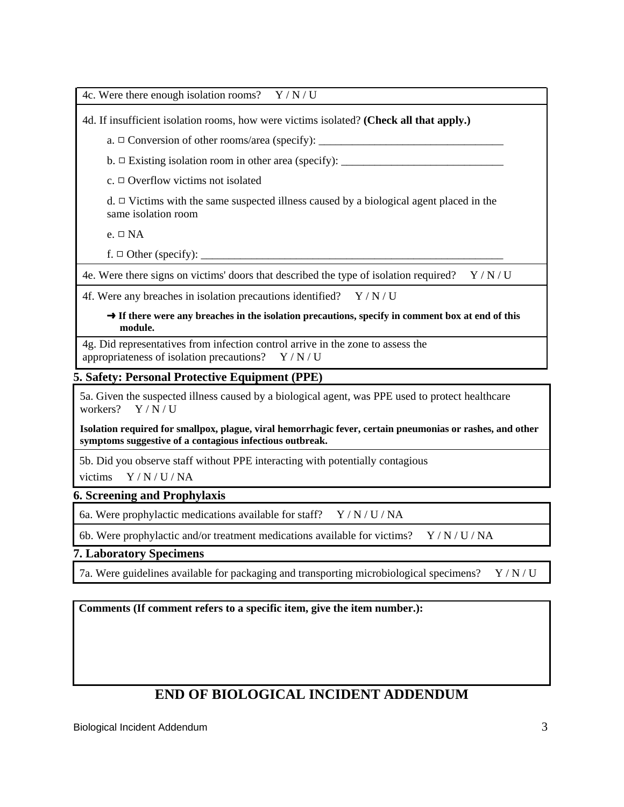4c. Were there enough isolation rooms?  $Y / N / U$ 

4d. If insufficient isolation rooms, how were victims isolated? **(Check all that apply.)**

a.  $\Box$  Conversion of other rooms/area (specify):  $\Box$ 

 $b. \Box$  Existing isolation room in other area (specify):  $\Box$ 

 $c. \Box$  Overflow victims not isolated

 $d. \Box$  Victims with the same suspected illness caused by a biological agent placed in the same isolation room

 $e. \Box NA$ 

 $f. \Box$  Other (specify):

4e. Were there signs on victims' doors that described the type of isolation required?  $Y/N/U$ 

4f. Were any breaches in isolation precautions identified?  $Y / N / U$ 

 $\rightarrow$  If there were any breaches in the isolation precautions, specify in comment box at end of this  **module.**

4g. Did representatives from infection control arrive in the zone to assess the appropriateness of isolation precautions?  $Y / N / U$ 

#### **5. Safety: Personal Protective Equipment (PPE)**

5a. Given the suspected illness caused by a biological agent, was PPE used to protect healthcare workers? Y/N/U

**Isolation required for smallpox, plague, viral hemorrhagic fever, certain pneumonias or rashes, and other symptoms suggestive of a contagious infectious outbreak.**

5b. Did you observe staff without PPE interacting with potentially contagious

victims Y / N / U / NA

#### **6. Screening and Prophylaxis**

6a. Were prophylactic medications available for staff?  $Y / N / U / NA$ 

6b. Were prophylactic and/or treatment medications available for victims?  $Y / N / U / NA$ 

**7. Laboratory Specimens**

7a. Were guidelines available for packaging and transporting microbiological specimens?  $Y/N/U$ 

**Comments (If comment refers to a specific item, give the item number.):** 

# **END OF BIOLOGICAL INCIDENT ADDENDUM**

Biological Incident Addendum 3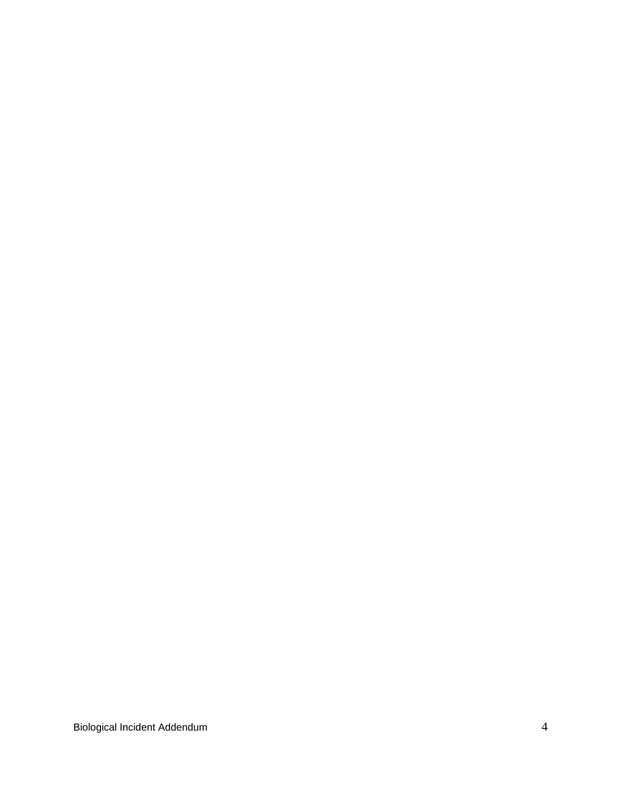Biological Incident Addendum 4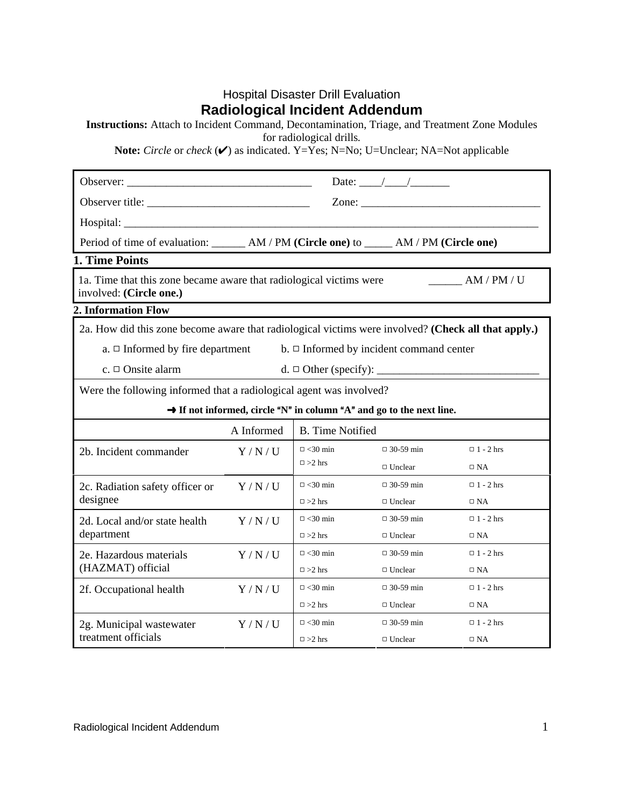## Hospital Disaster Drill Evaluation **Radiological Incident Addendum**

**Instructions:** Attach to Incident Command, Decontamination, Triage, and Treatment Zone Modules

for radiological drills*.*

Note: *Circle* or *check* (✔) as indicated. Y=Yes; N=No; U=Unclear; NA=Not applicable

| Observer title:                                                                                     |            |                         |                                                                                  |                  |
|-----------------------------------------------------------------------------------------------------|------------|-------------------------|----------------------------------------------------------------------------------|------------------|
|                                                                                                     |            |                         |                                                                                  |                  |
| Period of time of evaluation: _______ AM / PM (Circle one) to _____ AM / PM (Circle one)            |            |                         |                                                                                  |                  |
| 1. Time Points                                                                                      |            |                         |                                                                                  |                  |
| 1a. Time that this zone became aware that radiological victims were<br>involved: (Circle one.)      |            |                         |                                                                                  | AM / PM / U      |
| 2. Information Flow                                                                                 |            |                         |                                                                                  |                  |
| 2a. How did this zone become aware that radiological victims were involved? (Check all that apply.) |            |                         |                                                                                  |                  |
| a. $\Box$ Informed by fire department                                                               |            |                         | $b. \Box$ Informed by incident command center                                    |                  |
| $c. \Box$ Onsite alarm                                                                              |            |                         |                                                                                  |                  |
| Were the following informed that a radiological agent was involved?                                 |            |                         |                                                                                  |                  |
|                                                                                                     |            |                         | $\rightarrow$ If not informed, circle "N" in column "A" and go to the next line. |                  |
|                                                                                                     | A Informed | <b>B.</b> Time Notified |                                                                                  |                  |
| 2b. Incident commander                                                                              | Y/N/U      | $\Box$ < 30 min         | $\Box$ 30-59 min                                                                 | $\Box$ 1 - 2 hrs |
|                                                                                                     |            | $\square > 2$ hrs       | $\Box$ Unclear                                                                   | $\Box$ NA        |
| 2c. Radiation safety officer or                                                                     | Y/N/U      | $\Box$ < 30 min         | $\Box$ 30-59 min                                                                 | $\Box$ 1 - 2 hrs |
| designee                                                                                            |            | $\Box > 2$ hrs          | $\Box$ Unclear                                                                   | $\Box$ NA        |
| 2d. Local and/or state health                                                                       | Y/N/U      | $\Box$ < 30 min         | $\Box$ 30-59 min                                                                 | $\Box$ 1 - 2 hrs |
| department                                                                                          |            | $\Box > 2$ hrs          | $\Box$ Unclear                                                                   | $\Box$ NA        |
| 2e. Hazardous materials                                                                             | Y/N/U      | $\Box$ < 30 min         | $\Box$ 30-59 min                                                                 | $\Box$ 1 - 2 hrs |
| (HAZMAT) official                                                                                   |            | $\Box$ >2 hrs           | $\Box$ Unclear                                                                   | $\Box$ NA        |
| 2f. Occupational health                                                                             | Y/N/U      | $\Box < 30$ min         | $\Box$ 30-59 min                                                                 | $\Box$ 1 - 2 hrs |
|                                                                                                     |            | $\Box > 2$ hrs          | $\Box$ Unclear                                                                   | $\Box$ NA        |
| 2g. Municipal wastewater                                                                            | Y/N/U      | $\Box < 30$ min         | $\Box$ 30-59 min                                                                 | $\Box$ 1 - 2 hrs |
| treatment officials                                                                                 |            | $\Box > 2$ hrs          | $\Box$ Unclear                                                                   | $\Box$ NA        |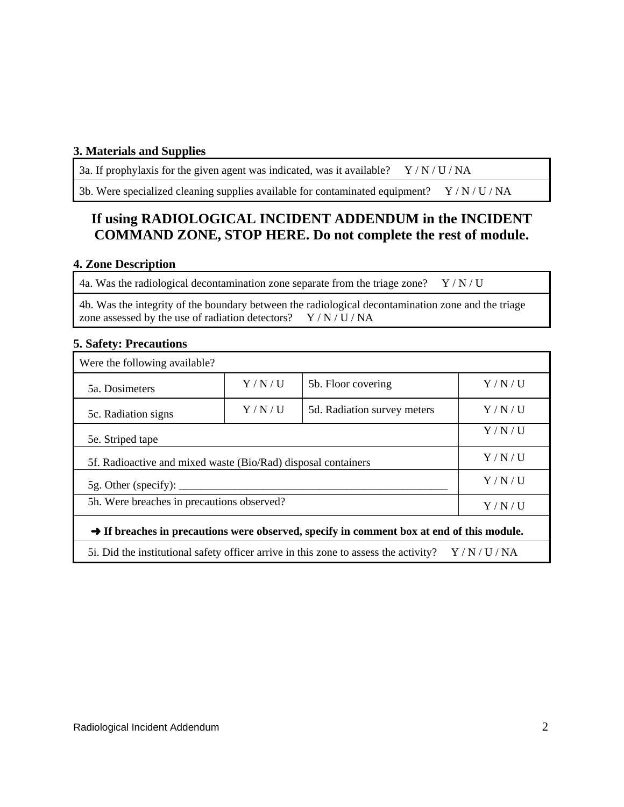#### **3. Materials and Supplies**

3a. If prophylaxis for the given agent was indicated, was it available?  $Y / N / U / NA$ 

3b. Were specialized cleaning supplies available for contaminated equipment?  $Y / N / U / NA$ 

## **If using RADIOLOGICAL INCIDENT ADDENDUM in the INCIDENT COMMAND ZONE, STOP HERE. Do not complete the rest of module.**

#### **4. Zone Description**

4a. Was the radiological decontamination zone separate from the triage zone?  $Y / N / U$ 

4b. Was the integrity of the boundary between the radiological decontamination zone and the triage zone assessed by the use of radiation detectors?  $Y / N / U / NA$ 

#### **5. Safety: Precautions**

| Were the following available?                                                                         |       |                             |       |
|-------------------------------------------------------------------------------------------------------|-------|-----------------------------|-------|
| 5a. Dosimeters                                                                                        | Y/N/U | 5b. Floor covering          | Y/N/U |
| 5c. Radiation signs                                                                                   | Y/N/U | 5d. Radiation survey meters | Y/N/U |
| 5e. Striped tape                                                                                      |       |                             | Y/N/U |
| 5f. Radioactive and mixed waste (Bio/Rad) disposal containers                                         |       |                             | Y/N/U |
| 5g. Other (specify): $\frac{1}{\sqrt{2}}$                                                             |       |                             | Y/N/U |
| 5h. Were breaches in precautions observed?                                                            |       |                             | Y/N/U |
| $\rightarrow$ If breaches in precautions were observed, specify in comment box at end of this module. |       |                             |       |

5i. Did the institutional safety officer arrive in this zone to assess the activity?  $Y/N/U/NA$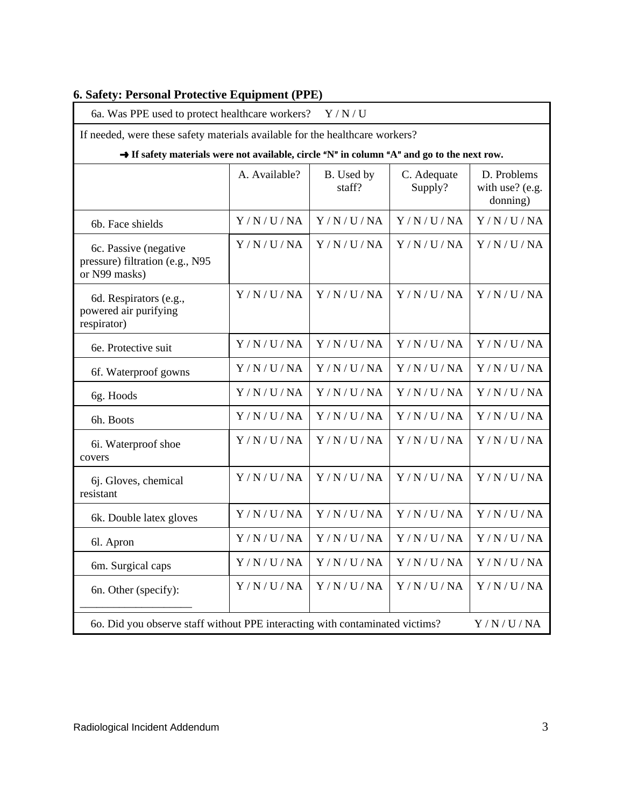#### **6. Safety: Personal Protective Equipment (PPE)**

6a. Was PPE used to protect healthcare workers?  $Y / N / U$ 

If needed, were these safety materials available for the healthcare workers?

### **→** If safety materials were not available, circle "N" in column "A" and go to the next row.

| A. Available?                                                                            | B. Used by<br>staff? | C. Adequate<br>Supply? | D. Problems<br>with use? (e.g.<br>donning) |  |  |
|------------------------------------------------------------------------------------------|----------------------|------------------------|--------------------------------------------|--|--|
| Y/N/U/NA                                                                                 | Y/N/U/NA             | Y/N/U/NA               | Y/N/U/NA                                   |  |  |
| Y/N/U/NA                                                                                 | Y/N/U/NA             | Y/N/U/NA               | Y/N/U/NA                                   |  |  |
| Y/N/U/NA                                                                                 | Y/N/U/NA             | Y/N/U/NA               | Y/N/U/NA                                   |  |  |
| Y/N/U/NA                                                                                 | Y/N/U/NA             | Y/N/U/NA               | Y/N/U/NA                                   |  |  |
| Y/N/U/NA                                                                                 | Y/N/U/NA             | Y/N/U/NA               | Y/N/U/NA                                   |  |  |
| Y/N/U/NA                                                                                 | Y/N/U/NA             | Y/N/U/NA               | Y/N/U/NA                                   |  |  |
| Y/N/U/NA                                                                                 | Y/N/U/NA             | Y/N/U/NA               | Y/N/U/NA                                   |  |  |
| Y/N/U/NA                                                                                 | Y/N/U/NA             | Y/N/U/NA               | Y/N/U/NA                                   |  |  |
| Y/N/U/NA                                                                                 | Y/N/U/NA             | Y/N/U/NA               | Y/N/U/NA                                   |  |  |
| Y/N/U/NA                                                                                 | Y/N/U/NA             | Y/N/U/NA               | Y/N/U/NA                                   |  |  |
| Y/N/U/NA                                                                                 | Y/N/U/NA             | Y/N/U/NA               | Y/N/U/NA                                   |  |  |
| Y/N/U/NA                                                                                 | Y/N/U/NA             | Y/N/U/NA               | Y/N/U/NA                                   |  |  |
| Y/N/U/NA                                                                                 | Y/N/U/NA             | Y/N/U/NA               | Y/N/U/NA                                   |  |  |
| 60. Did you observe staff without PPE interacting with contaminated victims?<br>Y/N/U/NA |                      |                        |                                            |  |  |
|                                                                                          |                      |                        |                                            |  |  |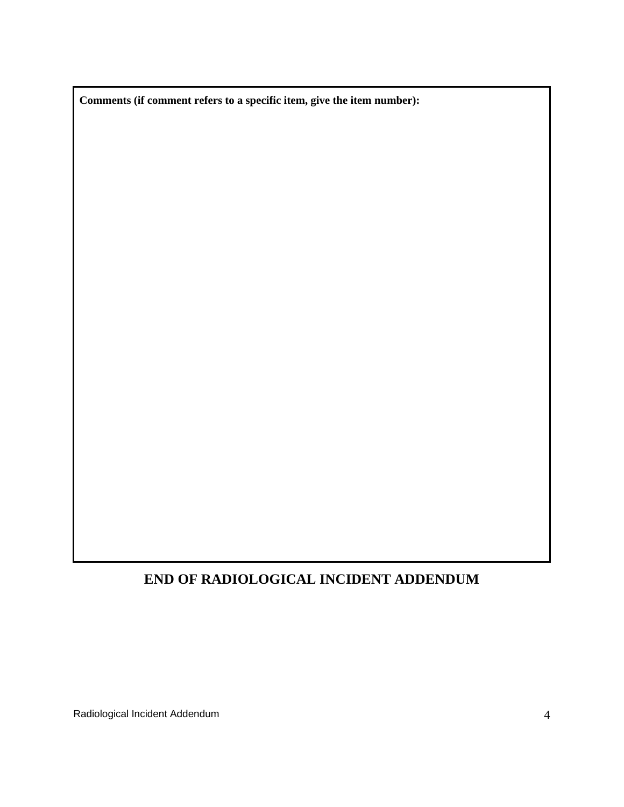**Comments (if comment refers to a specific item, give the item number):**

## **END OF RADIOLOGICAL INCIDENT ADDENDUM**

Radiological Incident Addendum 4 and 2008 and 2008 and 2008 and 2008 and 2008 and 2008 and 2008 and 2008 and 2008 and 2008 and 2008 and 2008 and 2008 and 2008 and 2008 and 2008 and 2008 and 2008 and 2008 and 2008 and 2008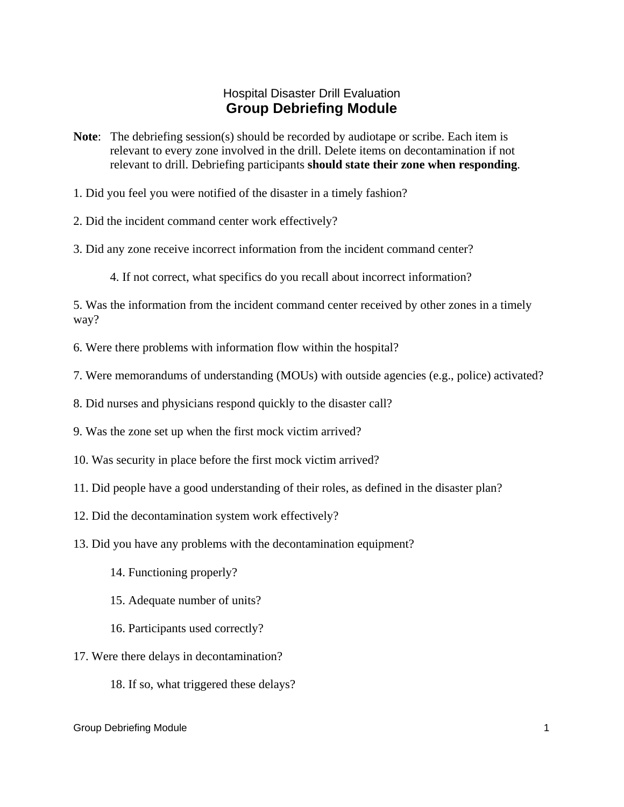#### Hospital Disaster Drill Evaluation **Group Debriefing Module**

**Note:** The debriefing session(s) should be recorded by audiotape or scribe. Each item is relevant to every zone involved in the drill. Delete items on decontamination if not relevant to drill. Debriefing participants **should state their zone when responding**.

1. Did you feel you were notified of the disaster in a timely fashion?

2. Did the incident command center work effectively?

3. Did any zone receive incorrect information from the incident command center?

4. If not correct, what specifics do you recall about incorrect information?

5. Was the information from the incident command center received by other zones in a timely way?

6. Were there problems with information flow within the hospital?

7. Were memorandums of understanding (MOUs) with outside agencies (e.g., police) activated?

8. Did nurses and physicians respond quickly to the disaster call?

9. Was the zone set up when the first mock victim arrived?

10. Was security in place before the first mock victim arrived?

11. Did people have a good understanding of their roles, as defined in the disaster plan?

12. Did the decontamination system work effectively?

13. Did you have any problems with the decontamination equipment?

- 14. Functioning properly?
- 15. Adequate number of units?
- 16. Participants used correctly?
- 17. Were there delays in decontamination?
	- 18. If so, what triggered these delays?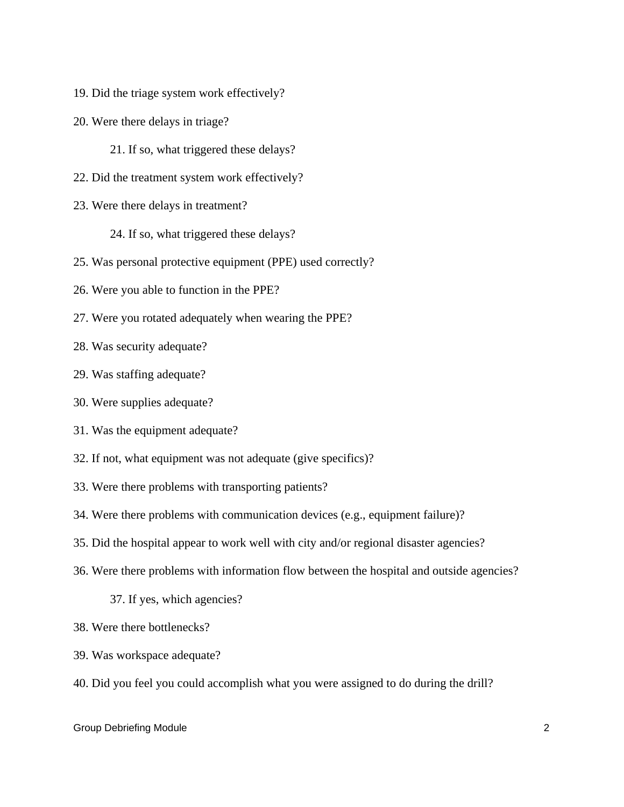19. Did the triage system work effectively?

20. Were there delays in triage?

21. If so, what triggered these delays?

- 22. Did the treatment system work effectively?
- 23. Were there delays in treatment?

24. If so, what triggered these delays?

- 25. Was personal protective equipment (PPE) used correctly?
- 26. Were you able to function in the PPE?
- 27. Were you rotated adequately when wearing the PPE?
- 28. Was security adequate?
- 29. Was staffing adequate?
- 30. Were supplies adequate?
- 31. Was the equipment adequate?
- 32. If not, what equipment was not adequate (give specifics)?
- 33. Were there problems with transporting patients?
- 34. Were there problems with communication devices (e.g., equipment failure)?
- 35. Did the hospital appear to work well with city and/or regional disaster agencies?
- 36. Were there problems with information flow between the hospital and outside agencies?

37. If yes, which agencies?

- 38. Were there bottlenecks?
- 39. Was workspace adequate?
- 40. Did you feel you could accomplish what you were assigned to do during the drill?

#### Group Debriefing Module 2008